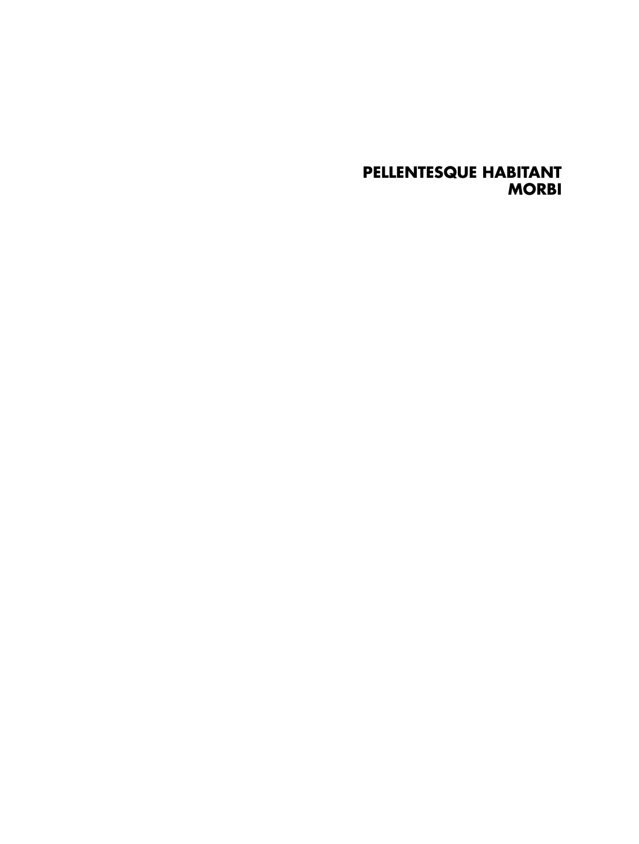#### **PELLENTESQUE HABITANT MORBI**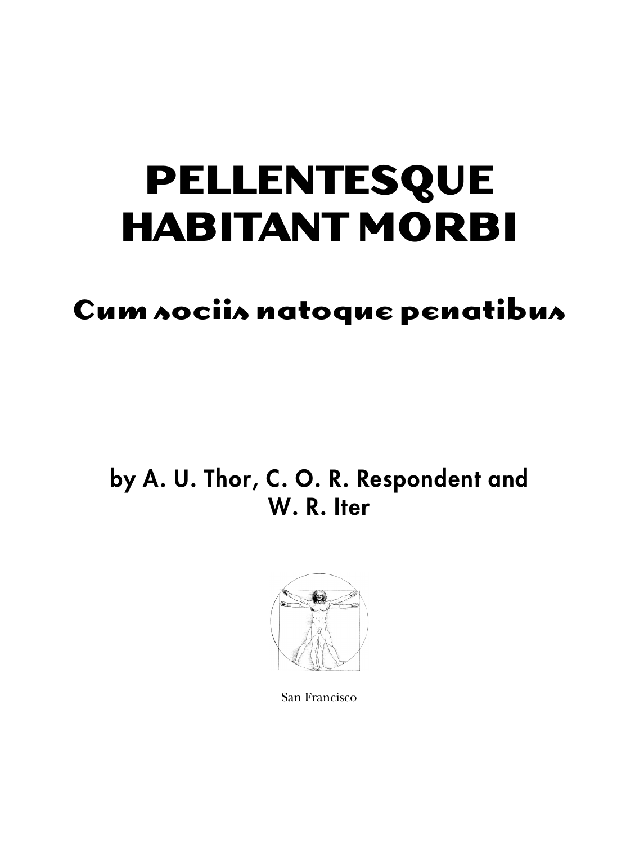### **PELLENTESQUE HABITANT MORBI**

#### **Cum sociis natoque penatibus**

#### by A. U. Thor, C. O. R. Respondent and W. R. Iter



San Francisco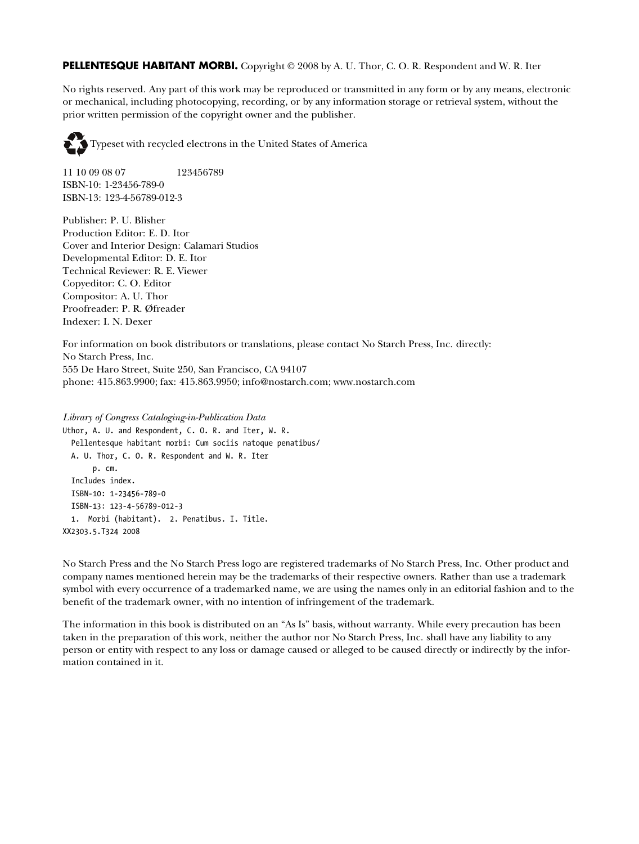#### **PELLENTESQUE HABITANT MORBI.** Copyright © 2008 by A. U. Thor, C. O. R. Respondent and W. R. Iter

No rights reserved. Any part of this work may be reproduced or transmitted in any form or by any means, electronic or mechanical, including photocopying, recording, or by any information storage or retrieval system, without the prior written permission of the copyright owner and the publisher.



11 10 09 08 07 123456789 ISBN-10: 1-23456-789-0 ISBN-13: 123-4-56789-012-3

Publisher: P. U. Blisher Production Editor: E. D. Itor Cover and Interior Design: Calamari Studios Developmental Editor: D. E. Itor Technical Reviewer: R. E. Viewer Copyeditor: C. O. Editor Compositor: A. U. Thor Proofreader: P. R. Øfreader Indexer: I. N. Dexer

For information on book distributors or translations, please contact No Starch Press, Inc. directly: No Starch Press, Inc. 555 De Haro Street, Suite 250, San Francisco, CA 94107 phone: 415.863.9900; fax: 415.863.9950; info@nostarch.com; www.nostarch.com

*Library of Congress Cataloging-in-Publication Data* Uthor, A. U. and Respondent, C. O. R. and Iter, W. R. Pellentesque habitant morbi: Cum sociis natoque penatibus/ A. U. Thor, C. O. R. Respondent and W. R. Iter p. cm. Includes index. ISBN-10: 1-23456-789-0 ISBN-13: 123-4-56789-012-3 1. Morbi (habitant). 2. Penatibus. I. Title. XX2303.5.T324 2008

No Starch Press and the No Starch Press logo are registered trademarks of No Starch Press, Inc. Other product and company names mentioned herein may be the trademarks of their respective owners. Rather than use a trademark symbol with every occurrence of a trademarked name, we are using the names only in an editorial fashion and to the benefit of the trademark owner, with no intention of infringement of the trademark.

The information in this book is distributed on an "As Is" basis, without warranty. While every precaution has been taken in the preparation of this work, neither the author nor No Starch Press, Inc. shall have any liability to any person or entity with respect to any loss or damage caused or alleged to be caused directly or indirectly by the information contained in it.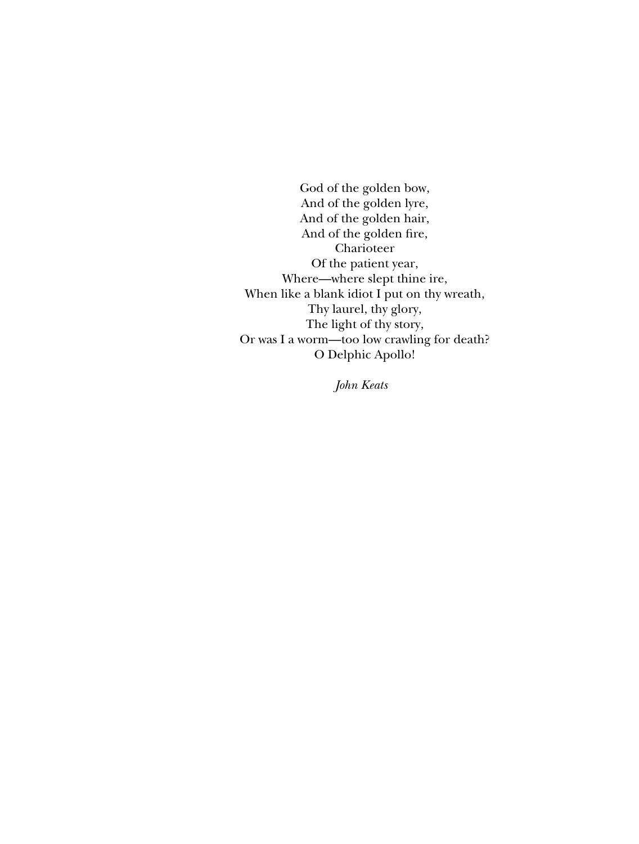<span id="page-4-0"></span>God of the golden bow, And of the golden lyre, And of the golden hair, And of the golden fire, Charioteer Of the patient year, Where—where slept thine ire, When like a blank idiot I put on thy wreath, Thy laurel, thy glory, The light of thy story, Or was I a worm—too low crawling for death? O Delphic Apollo!

*John Keats*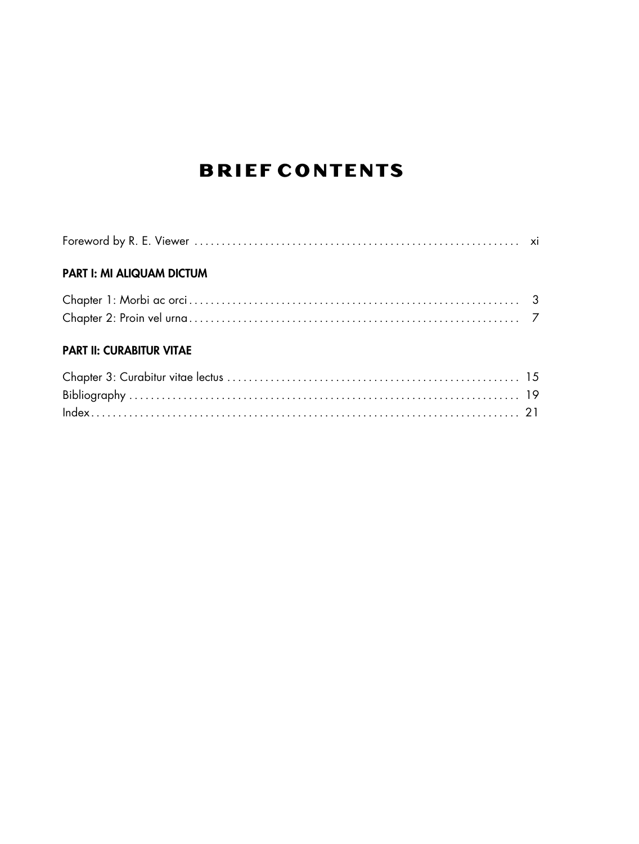#### **BRIEF CONTENTS**

| <b>PART I: MI ALIQUAM DICTUM</b> |  |
|----------------------------------|--|
|                                  |  |
|                                  |  |
| <b>PART II: CURABITUR VITAE</b>  |  |
|                                  |  |
|                                  |  |
|                                  |  |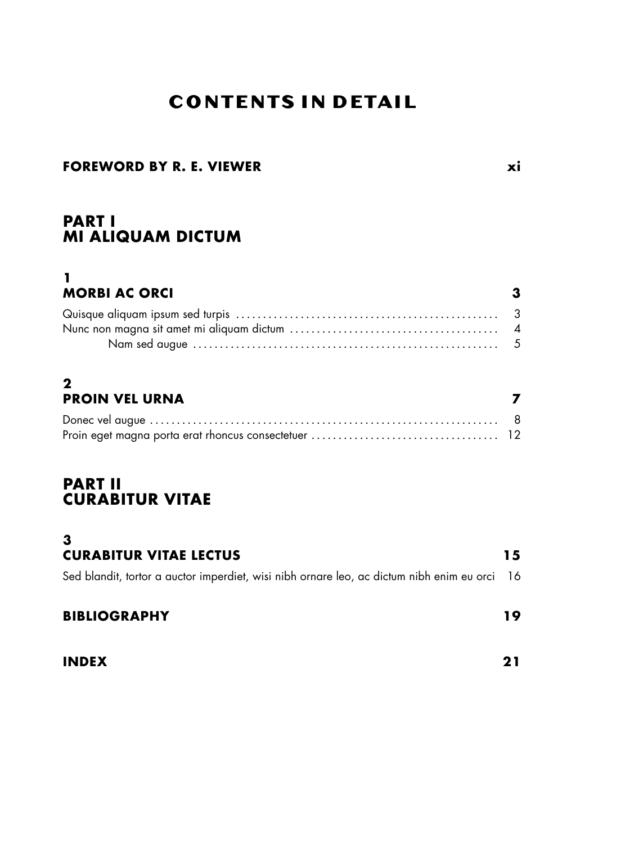#### **CONTENTS IN DETAIL**

#### **[FOREWORD BY R. E. VIEWER](#page-10-0) xi**

#### **[PART I](#page-14-0) [MI ALIQUAM DICTUM](#page-14-0)**

#### **[1](#page-16-0) [MORBI AC ORCI](#page-16-0) 3**

#### **[2](#page-20-0) [PROIN VEL URNA](#page-20-0) 7**

#### **[PART II](#page-26-0) [CURABITUR VITAE](#page-26-0)**

#### **[3](#page-28-0) [CURABITUR VITAE LECTUS](#page-28-0) 15** [Sed blandit, tortor a auctor imperdiet, wisi nibh ornare leo, ac dictum nibh enim eu orci](#page-29-0) 16 **[BIBLIOGRAPHY](#page-32-0) 19**

**[INDEX](#page-34-0) 21**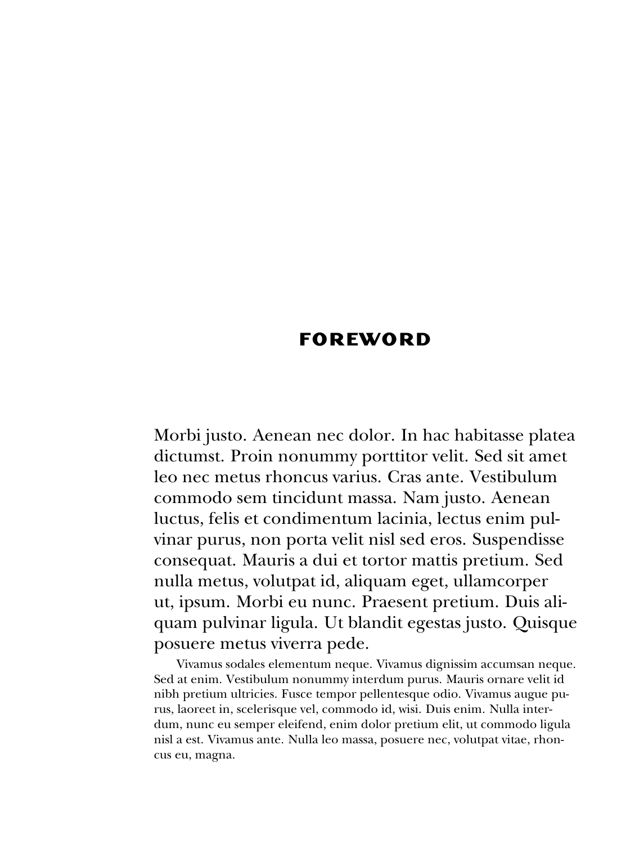#### **FOREWORD**

<span id="page-10-0"></span>Morbi justo. Aenean nec dolor. In hac habitasse platea dictumst. Proin nonummy porttitor velit. Sed sit amet leo nec metus rhoncus varius. Cras ante. Vestibulum commodo sem tincidunt massa. Nam justo. Aenean luctus, felis et condimentum lacinia, lectus enim pulvinar purus, non porta velit nisl sed eros. Suspendisse consequat. Mauris a dui et tortor mattis pretium. Sed nulla metus, volutpat id, aliquam eget, ullamcorper ut, ipsum. Morbi eu nunc. Praesent pretium. Duis aliquam pulvinar ligula. Ut blandit egestas justo. Quisque posuere metus viverra pede.

Vivamus sodales elementum neque. Vivamus dignissim accumsan neque. Sed at enim. Vestibulum nonummy interdum purus. Mauris ornare velit id nibh pretium ultricies. Fusce tempor pellentesque odio. Vivamus augue purus, laoreet in, scelerisque vel, commodo id, wisi. Duis enim. Nulla interdum, nunc eu semper eleifend, enim dolor pretium elit, ut commodo ligula nisl a est. Vivamus ante. Nulla leo massa, posuere nec, volutpat vitae, rhoncus eu, magna.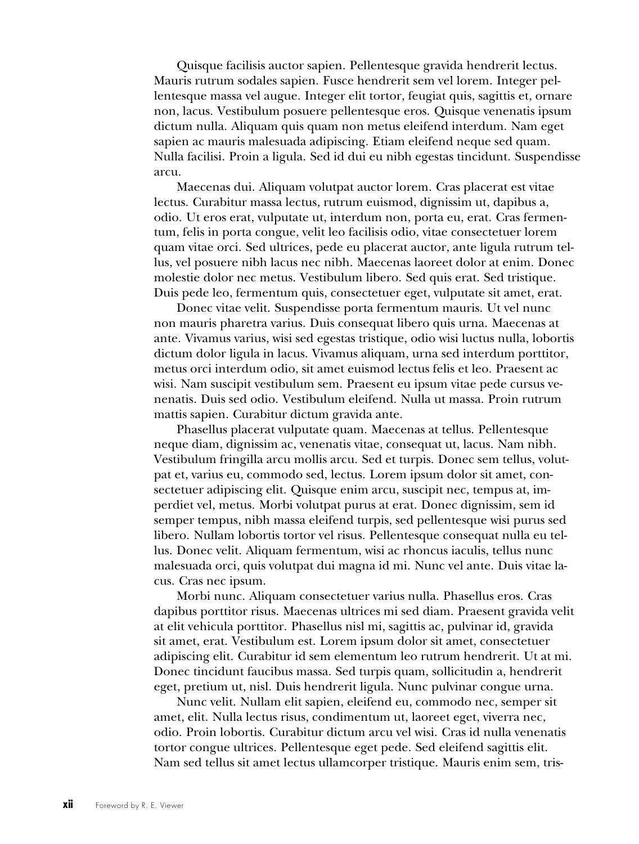Quisque facilisis auctor sapien. Pellentesque gravida hendrerit lectus. Mauris rutrum sodales sapien. Fusce hendrerit sem vel lorem. Integer pellentesque massa vel augue. Integer elit tortor, feugiat quis, sagittis et, ornare non, lacus. Vestibulum posuere pellentesque eros. Quisque venenatis ipsum dictum nulla. Aliquam quis quam non metus eleifend interdum. Nam eget sapien ac mauris malesuada adipiscing. Etiam eleifend neque sed quam. Nulla facilisi. Proin a ligula. Sed id dui eu nibh egestas tincidunt. Suspendisse arcu.

Maecenas dui. Aliquam volutpat auctor lorem. Cras placerat est vitae lectus. Curabitur massa lectus, rutrum euismod, dignissim ut, dapibus a, odio. Ut eros erat, vulputate ut, interdum non, porta eu, erat. Cras fermentum, felis in porta congue, velit leo facilisis odio, vitae consectetuer lorem quam vitae orci. Sed ultrices, pede eu placerat auctor, ante ligula rutrum tellus, vel posuere nibh lacus nec nibh. Maecenas laoreet dolor at enim. Donec molestie dolor nec metus. Vestibulum libero. Sed quis erat. Sed tristique. Duis pede leo, fermentum quis, consectetuer eget, vulputate sit amet, erat.

Donec vitae velit. Suspendisse porta fermentum mauris. Ut vel nunc non mauris pharetra varius. Duis consequat libero quis urna. Maecenas at ante. Vivamus varius, wisi sed egestas tristique, odio wisi luctus nulla, lobortis dictum dolor ligula in lacus. Vivamus aliquam, urna sed interdum porttitor, metus orci interdum odio, sit amet euismod lectus felis et leo. Praesent ac wisi. Nam suscipit vestibulum sem. Praesent eu ipsum vitae pede cursus venenatis. Duis sed odio. Vestibulum eleifend. Nulla ut massa. Proin rutrum mattis sapien. Curabitur dictum gravida ante.

Phasellus placerat vulputate quam. Maecenas at tellus. Pellentesque neque diam, dignissim ac, venenatis vitae, consequat ut, lacus. Nam nibh. Vestibulum fringilla arcu mollis arcu. Sed et turpis. Donec sem tellus, volutpat et, varius eu, commodo sed, lectus. Lorem ipsum dolor sit amet, consectetuer adipiscing elit. Quisque enim arcu, suscipit nec, tempus at, imperdiet vel, metus. Morbi volutpat purus at erat. Donec dignissim, sem id semper tempus, nibh massa eleifend turpis, sed pellentesque wisi purus sed libero. Nullam lobortis tortor vel risus. Pellentesque consequat nulla eu tellus. Donec velit. Aliquam fermentum, wisi ac rhoncus iaculis, tellus nunc malesuada orci, quis volutpat dui magna id mi. Nunc vel ante. Duis vitae lacus. Cras nec ipsum.

Morbi nunc. Aliquam consectetuer varius nulla. Phasellus eros. Cras dapibus porttitor risus. Maecenas ultrices mi sed diam. Praesent gravida velit at elit vehicula porttitor. Phasellus nisl mi, sagittis ac, pulvinar id, gravida sit amet, erat. Vestibulum est. Lorem ipsum dolor sit amet, consectetuer adipiscing elit. Curabitur id sem elementum leo rutrum hendrerit. Ut at mi. Donec tincidunt faucibus massa. Sed turpis quam, sollicitudin a, hendrerit eget, pretium ut, nisl. Duis hendrerit ligula. Nunc pulvinar congue urna.

Nunc velit. Nullam elit sapien, eleifend eu, commodo nec, semper sit amet, elit. Nulla lectus risus, condimentum ut, laoreet eget, viverra nec, odio. Proin lobortis. Curabitur dictum arcu vel wisi. Cras id nulla venenatis tortor congue ultrices. Pellentesque eget pede. Sed eleifend sagittis elit. Nam sed tellus sit amet lectus ullamcorper tristique. Mauris enim sem, tris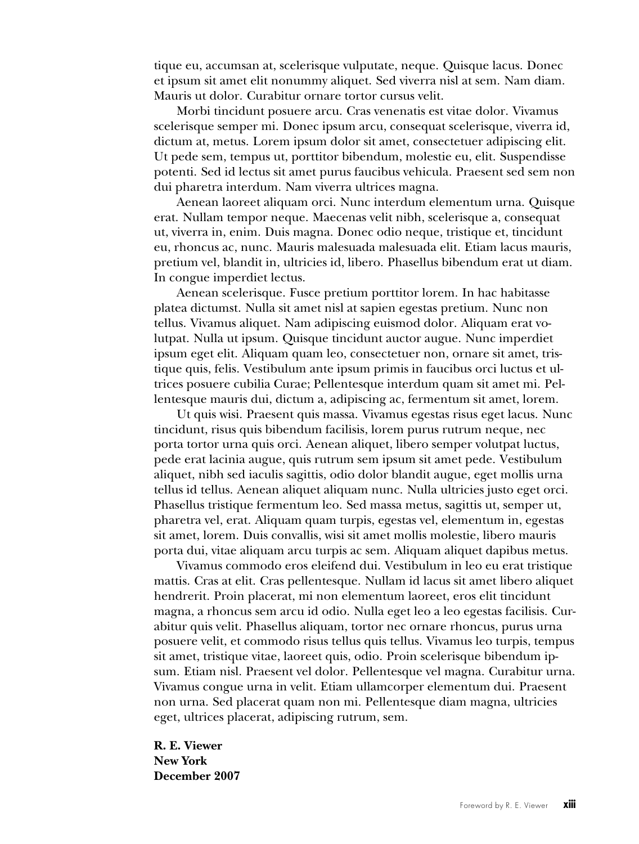<span id="page-12-0"></span>tique eu, accumsan at, scelerisque vulputate, neque. Quisque lacus. Donec et ipsum sit amet elit nonummy aliquet. Sed viverra nisl at sem. Nam diam. Mauris ut dolor. Curabitur ornare tortor cursus velit.

Morbi tincidunt posuere arcu. Cras venenatis est vitae dolor. Vivamus scelerisque semper mi. Donec ipsum arcu, consequat scelerisque, viverra id, dictum at, metus. Lorem ipsum dolor sit amet, consectetuer adipiscing elit. Ut pede sem, tempus ut, porttitor bibendum, molestie eu, elit. Suspendisse potenti. Sed id lectus sit amet purus faucibus vehicula. Praesent sed sem non dui pharetra interdum. Nam viverra ultrices magna.

Aenean laoreet aliquam orci. Nunc interdum elementum urna. Quisque erat. Nullam tempor neque. Maecenas velit nibh, scelerisque a, consequat ut, viverra in, enim. Duis magna. Donec odio neque, tristique et, tincidunt eu, rhoncus ac, nunc. Mauris malesuada malesuada elit. Etiam lacus mauris, pretium vel, blandit in, ultricies id, libero. Phasellus bibendum erat ut diam. In congue imperdiet lectus.

Aenean scelerisque. Fusce pretium porttitor lorem. In hac habitasse platea dictumst. Nulla sit amet nisl at sapien egestas pretium. Nunc non tellus. Vivamus aliquet. Nam adipiscing euismod dolor. Aliquam erat volutpat. Nulla ut ipsum. Quisque tincidunt auctor augue. Nunc imperdiet ipsum eget elit. Aliquam quam leo, consectetuer non, ornare sit amet, tristique quis, felis. Vestibulum ante ipsum primis in faucibus orci luctus et ultrices posuere cubilia Curae; Pellentesque interdum quam sit amet mi. Pellentesque mauris dui, dictum a, adipiscing ac, fermentum sit amet, lorem.

Ut quis wisi. Praesent quis massa. Vivamus egestas risus eget lacus. Nunc tincidunt, risus quis bibendum facilisis, lorem purus rutrum neque, nec porta tortor urna quis orci. Aenean aliquet, libero semper volutpat luctus, pede erat lacinia augue, quis rutrum sem ipsum sit amet pede. Vestibulum aliquet, nibh sed iaculis sagittis, odio dolor blandit augue, eget mollis urna tellus id tellus. Aenean aliquet aliquam nunc. Nulla ultricies justo eget orci. Phasellus tristique fermentum leo. Sed massa metus, sagittis ut, semper ut, pharetra vel, erat. Aliquam quam turpis, egestas vel, elementum in, egestas sit amet, lorem. Duis convallis, wisi sit amet mollis molestie, libero mauris porta dui, vitae aliquam arcu turpis ac sem. Aliquam aliquet dapibus metus.

Vivamus commodo eros eleifend dui. Vestibulum in leo eu erat tristique mattis. Cras at elit. Cras pellentesque. Nullam id lacus sit amet libero aliquet hendrerit. Proin placerat, mi non elementum laoreet, eros elit tincidunt magna, a rhoncus sem arcu id odio. Nulla eget leo a leo egestas facilisis. Curabitur quis velit. Phasellus aliquam, tortor nec ornare rhoncus, purus urna posuere velit, et commodo risus tellus quis tellus. Vivamus leo turpis, tempus sit amet, tristique vitae, laoreet quis, odio. Proin scelerisque bibendum ipsum. Etiam nisl. Praesent vel dolor. Pellentesque vel magna. Curabitur urna. Vivamus congue urna in velit. Etiam ullamcorper elementum dui. Praesent non urna. Sed placerat quam non mi. Pellentesque diam magna, ultricies eget, ultrices placerat, adipiscing rutrum, sem.

**R. E. Viewer New York December 2007**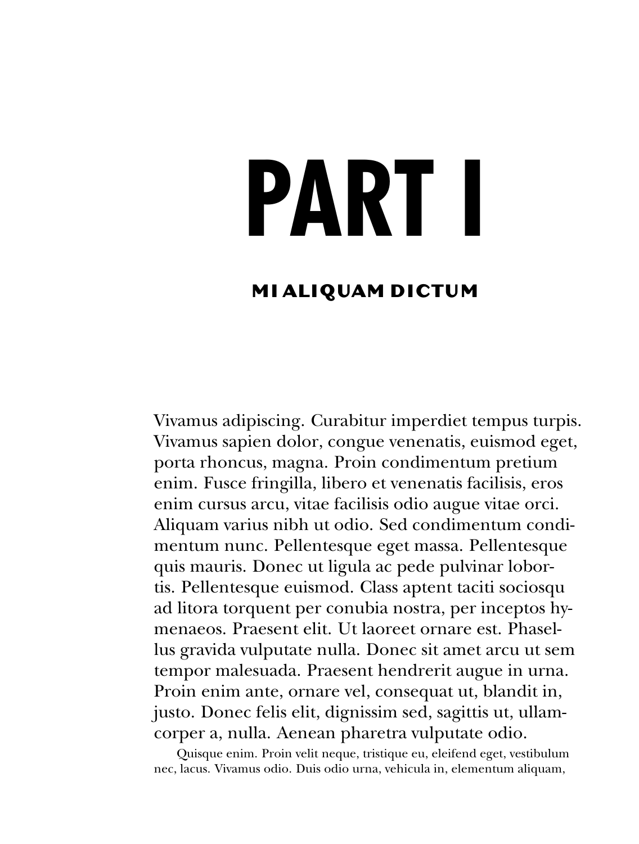### <span id="page-14-0"></span>**PART I**

#### **MI ALIQUAM DICTUM**

Vivamus adipiscing. Curabitur imperdiet tempus turpis. Vivamus sapien dolor, congue venenatis, euismod eget, porta rhoncus, magna. Proin condimentum pretium enim. Fusce fringilla, libero et venenatis facilisis, eros enim cursus arcu, vitae facilisis odio augue vitae orci. Aliquam varius nibh ut odio. Sed condimentum condimentum nunc. Pellentesque eget massa. Pellentesque quis mauris. Donec ut ligula ac pede pulvinar lobortis. Pellentesque euismod. Class aptent taciti sociosqu ad litora torquent per conubia nostra, per inceptos hymenaeos. Praesent elit. Ut laoreet ornare est. Phasellus gravida vulputate nulla. Donec sit amet arcu ut sem tempor malesuada. Praesent hendrerit augue in urna. Proin enim ante, ornare vel, consequat ut, blandit in, justo. Donec felis elit, dignissim sed, sagittis ut, ullamcorper a, nulla. Aenean pharetra vulputate odio.

Quisque enim. Proin velit neque, tristique eu, eleifend eget, vestibulum nec, lacus. Vivamus odio. Duis odio urna, vehicula in, elementum aliquam,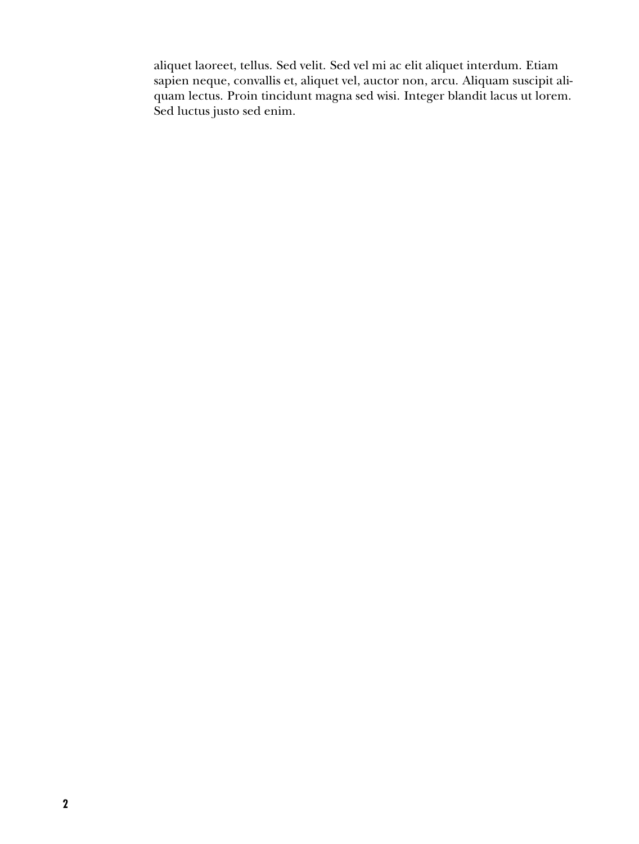aliquet laoreet, tellus. Sed velit. Sed vel mi ac elit aliquet interdum. Etiam sapien neque, convallis et, aliquet vel, auctor non, arcu. Aliquam suscipit aliquam lectus. Proin tincidunt magna sed wisi. Integer blandit lacus ut lorem. Sed luctus justo sed enim.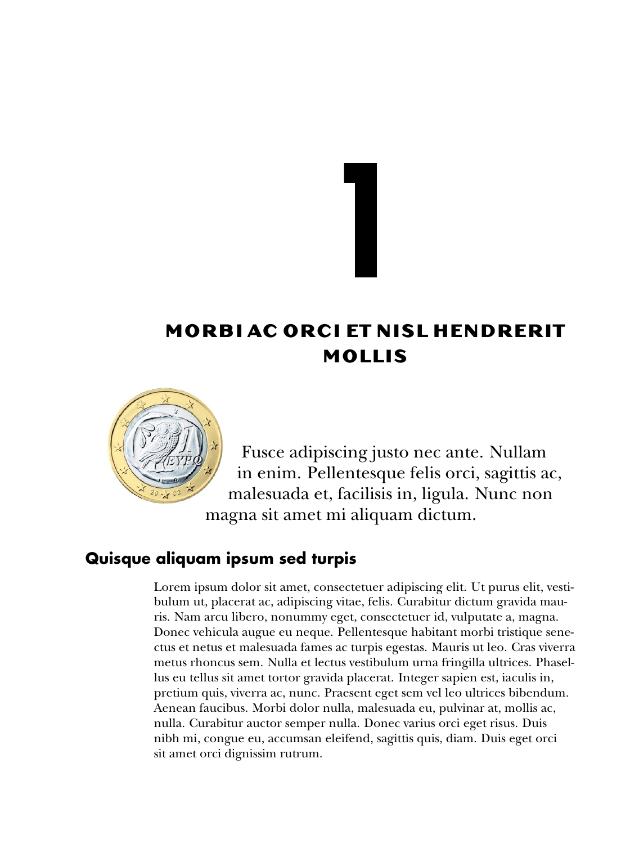#### **MORB I AC ORC I ET N ISL HENDRER IT MOLL IS**

<span id="page-16-2"></span><span id="page-16-0"></span>**1**



Fusce adipiscing justo nec ante. Nullam in enim. Pellentesque felis orci, sagittis ac, malesuada et, facilisis in, ligula. Nunc non magna sit amet mi aliquam dictum.

#### **Quisque aliquam ipsum sed turpis**

<span id="page-16-1"></span>Lorem ipsum dolor sit amet, consectetuer adipiscing elit. Ut purus elit, vestibulum ut, placerat ac, adipiscing vitae, felis. Curabitur dictum gravida mauris. Nam arcu libero, nonummy eget, consectetuer id, vulputate a, magna. Donec vehicula augue eu neque. Pellentesque habitant morbi tristique senectus et netus et malesuada fames ac turpis egestas. Mauris ut leo. Cras viverra metus rhoncus sem. Nulla et lectus vestibulum urna fringilla ultrices. Phasellus eu tellus sit amet tortor gravida placerat. Integer sapien est, iaculis in, pretium quis, viverra ac, nunc. Praesent eget sem vel leo ultrices bibendum. Aenean faucibus. Morbi dolor nulla, malesuada eu, pulvinar at, mollis ac, nulla. Curabitur auctor semper nulla. Donec varius orci eget risus. Duis nibh mi, congue eu, accumsan eleifend, sagittis quis, diam. Duis eget orci sit amet orci dignissim rutrum.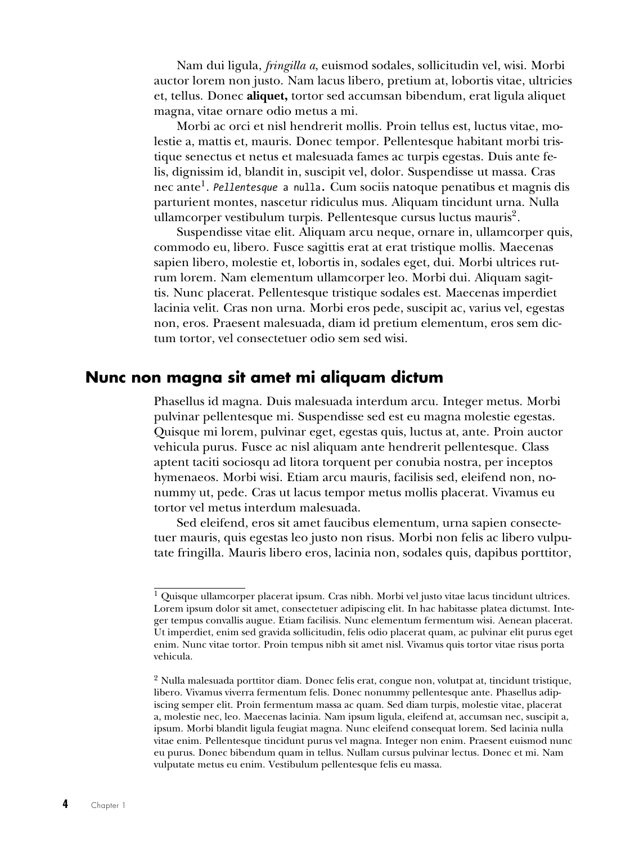<span id="page-17-3"></span>Nam dui ligula, *fringilla a*, euismod sodales, sollicitudin vel, wisi. Morbi auctor lorem non justo. Nam lacus libero, pretium at, lobortis vitae, ultricies et, tellus. Donec **aliquet,** tortor sed accumsan bibendum, erat ligula aliquet magna, vitae ornare odio metus a mi.

Morbi ac orci et nisl hendrerit mollis. Proin tellus est, luctus vitae, molestie a, mattis et, mauris. Donec tempor. Pellentesque habitant morbi tristique senectus et netus et malesuada fames ac turpis egestas. Duis ante felis, dignissim id, blandit in, suscipit vel, dolor. Suspendisse ut massa. Cras nec ante[1](#page-17-1) . *Pellentesque* a nulla. Cum sociis natoque penatibus et magnis dis parturient montes, nascetur ridiculus mus. Aliquam tincidunt urna. Nulla ullamcorper vestibulum turpis. Pellentesque cursus luctus mauris<sup>[2](#page-17-2)</sup>.

Suspendisse vitae elit. Aliquam arcu neque, ornare in, ullamcorper quis, commodo eu, libero. Fusce sagittis erat at erat tristique mollis. Maecenas sapien libero, molestie et, lobortis in, sodales eget, dui. Morbi ultrices rutrum lorem. Nam elementum ullamcorper leo. Morbi dui. Aliquam sagittis. Nunc placerat. Pellentesque tristique sodales est. Maecenas imperdiet lacinia velit. Cras non urna. Morbi eros pede, suscipit ac, varius vel, egestas non, eros. Praesent malesuada, diam id pretium elementum, eros sem dictum tortor, vel consectetuer odio sem sed wisi.

#### **Nunc non magna sit amet mi aliquam dictum**

<span id="page-17-0"></span>Phasellus id magna. Duis malesuada interdum arcu. Integer metus. Morbi pulvinar pellentesque mi. Suspendisse sed est eu magna molestie egestas. Quisque mi lorem, pulvinar eget, egestas quis, luctus at, ante. Proin auctor vehicula purus. Fusce ac nisl aliquam ante hendrerit pellentesque. Class aptent taciti sociosqu ad litora torquent per conubia nostra, per inceptos hymenaeos. Morbi wisi. Etiam arcu mauris, facilisis sed, eleifend non, nonummy ut, pede. Cras ut lacus tempor metus mollis placerat. Vivamus eu tortor vel metus interdum malesuada.

Sed eleifend, eros sit amet faucibus elementum, urna sapien consectetuer mauris, quis egestas leo justo non risus. Morbi non felis ac libero vulputate fringilla. Mauris libero eros, lacinia non, sodales quis, dapibus porttitor,

<span id="page-17-1"></span><sup>&</sup>lt;sup>1</sup> Quisque ullamcorper placerat ipsum. Cras nibh. Morbi vel justo vitae lacus tincidunt ultrices. Lorem ipsum dolor sit amet, consectetuer adipiscing elit. In hac habitasse platea dictumst. Integer tempus convallis augue. Etiam facilisis. Nunc elementum fermentum wisi. Aenean placerat. Ut imperdiet, enim sed gravida sollicitudin, felis odio placerat quam, ac pulvinar elit purus eget enim. Nunc vitae tortor. Proin tempus nibh sit amet nisl. Vivamus quis tortor vitae risus porta vehicula.

<span id="page-17-2"></span><sup>2</sup> Nulla malesuada porttitor diam. Donec felis erat, congue non, volutpat at, tincidunt tristique, libero. Vivamus viverra fermentum felis. Donec nonummy pellentesque ante. Phasellus adipiscing semper elit. Proin fermentum massa ac quam. Sed diam turpis, molestie vitae, placerat a, molestie nec, leo. Maecenas lacinia. Nam ipsum ligula, eleifend at, accumsan nec, suscipit a, ipsum. Morbi blandit ligula feugiat magna. Nunc eleifend consequat lorem. Sed lacinia nulla vitae enim. Pellentesque tincidunt purus vel magna. Integer non enim. Praesent euismod nunc eu purus. Donec bibendum quam in tellus. Nullam cursus pulvinar lectus. Donec et mi. Nam vulputate metus eu enim. Vestibulum pellentesque felis eu massa.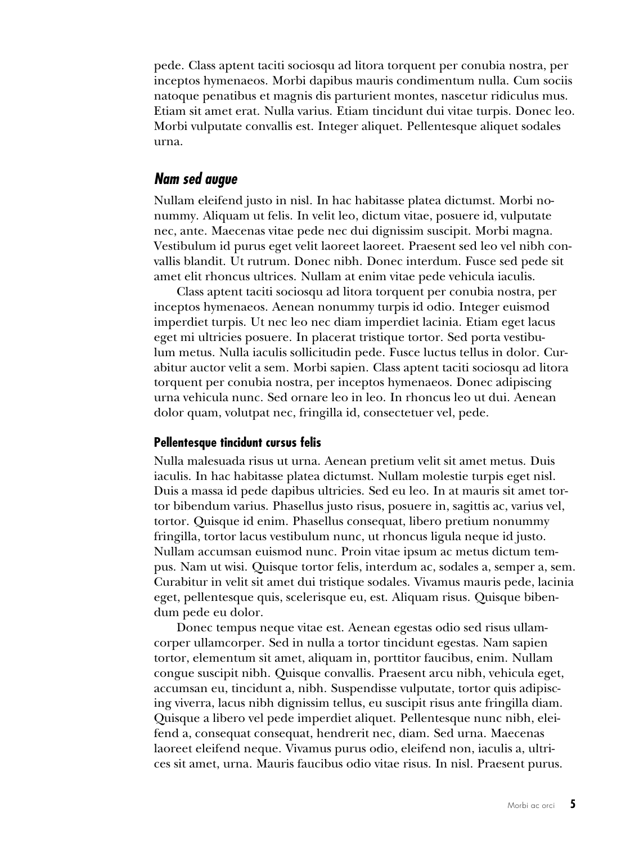pede. Class aptent taciti sociosqu ad litora torquent per conubia nostra, per inceptos hymenaeos. Morbi dapibus mauris condimentum nulla. Cum sociis natoque penatibus et magnis dis parturient montes, nascetur ridiculus mus. Etiam sit amet erat. Nulla varius. Etiam tincidunt dui vitae turpis. Donec leo. Morbi vulputate convallis est. Integer aliquet. Pellentesque aliquet sodales urna.

#### **Nam sed augue**

<span id="page-18-0"></span>Nullam eleifend justo in nisl. In hac habitasse platea dictumst. Morbi nonummy. Aliquam ut felis. In velit leo, dictum vitae, posuere id, vulputate nec, ante. Maecenas vitae pede nec dui dignissim suscipit. Morbi magna. Vestibulum id purus eget velit laoreet laoreet. Praesent sed leo vel nibh convallis blandit. Ut rutrum. Donec nibh. Donec interdum. Fusce sed pede sit amet elit rhoncus ultrices. Nullam at enim vitae pede vehicula iaculis.

Class aptent taciti sociosqu ad litora torquent per conubia nostra, per inceptos hymenaeos. Aenean nonummy turpis id odio. Integer euismod imperdiet turpis. Ut nec leo nec diam imperdiet lacinia. Etiam eget lacus eget mi ultricies posuere. In placerat tristique tortor. Sed porta vestibulum metus. Nulla iaculis sollicitudin pede. Fusce luctus tellus in dolor. Curabitur auctor velit a sem. Morbi sapien. Class aptent taciti sociosqu ad litora torquent per conubia nostra, per inceptos hymenaeos. Donec adipiscing urna vehicula nunc. Sed ornare leo in leo. In rhoncus leo ut dui. Aenean dolor quam, volutpat nec, fringilla id, consectetuer vel, pede.

#### **Pellentesque tincidunt cursus felis**

Nulla malesuada risus ut urna. Aenean pretium velit sit amet metus. Duis iaculis. In hac habitasse platea dictumst. Nullam molestie turpis eget nisl. Duis a massa id pede dapibus ultricies. Sed eu leo. In at mauris sit amet tortor bibendum varius. Phasellus justo risus, posuere in, sagittis ac, varius vel, tortor. Quisque id enim. Phasellus consequat, libero pretium nonummy fringilla, tortor lacus vestibulum nunc, ut rhoncus ligula neque id justo. Nullam accumsan euismod nunc. Proin vitae ipsum ac metus dictum tempus. Nam ut wisi. Quisque tortor felis, interdum ac, sodales a, semper a, sem. Curabitur in velit sit amet dui tristique sodales. Vivamus mauris pede, lacinia eget, pellentesque quis, scelerisque eu, est. Aliquam risus. Quisque bibendum pede eu dolor.

Donec tempus neque vitae est. Aenean egestas odio sed risus ullamcorper ullamcorper. Sed in nulla a tortor tincidunt egestas. Nam sapien tortor, elementum sit amet, aliquam in, porttitor faucibus, enim. Nullam congue suscipit nibh. Quisque convallis. Praesent arcu nibh, vehicula eget, accumsan eu, tincidunt a, nibh. Suspendisse vulputate, tortor quis adipiscing viverra, lacus nibh dignissim tellus, eu suscipit risus ante fringilla diam. Quisque a libero vel pede imperdiet aliquet. Pellentesque nunc nibh, eleifend a, consequat consequat, hendrerit nec, diam. Sed urna. Maecenas laoreet eleifend neque. Vivamus purus odio, eleifend non, iaculis a, ultrices sit amet, urna. Mauris faucibus odio vitae risus. In nisl. Praesent purus.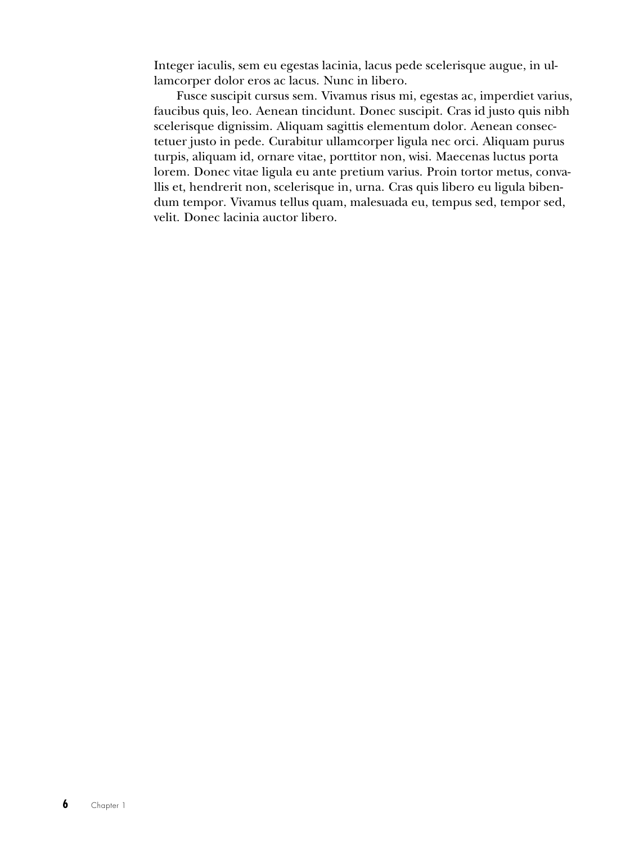Integer iaculis, sem eu egestas lacinia, lacus pede scelerisque augue, in ullamcorper dolor eros ac lacus. Nunc in libero.

Fusce suscipit cursus sem. Vivamus risus mi, egestas ac, imperdiet varius, faucibus quis, leo. Aenean tincidunt. Donec suscipit. Cras id justo quis nibh scelerisque dignissim. Aliquam sagittis elementum dolor. Aenean consectetuer justo in pede. Curabitur ullamcorper ligula nec orci. Aliquam purus turpis, aliquam id, ornare vitae, porttitor non, wisi. Maecenas luctus porta lorem. Donec vitae ligula eu ante pretium varius. Proin tortor metus, convallis et, hendrerit non, scelerisque in, urna. Cras quis libero eu ligula bibendum tempor. Vivamus tellus quam, malesuada eu, tempus sed, tempor sed, velit. Donec lacinia auctor libero.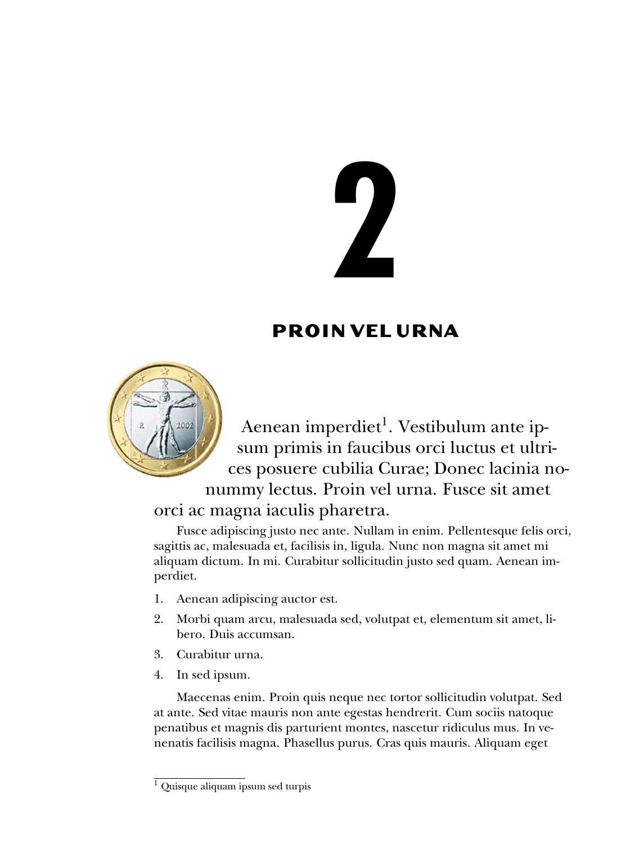# <span id="page-20-2"></span><span id="page-20-0"></span>**2**

#### **PRO IN VEL URNA**



Aenean imperdiet<sup>[1](#page-20-1)</sup>. Vestibulum ante ipsum primis in faucibus orci luctus et ultrices posuere cubilia Curae; Donec lacinia nonummy lectus. Proin vel urna. Fusce sit amet

#### orci ac magna iaculis pharetra.

Fusce adipiscing justo nec ante. Nullam in enim. Pellentesque felis orci, sagittis ac, malesuada et, facilisis in, ligula. Nunc non magna sit amet mi aliquam dictum. In mi. Curabitur sollicitudin justo sed quam. Aenean imperdiet.

- 1. Aenean adipiscing auctor est.
- 2. Morbi quam arcu, malesuada sed, volutpat et, elementum sit amet, libero. Duis accumsan.
- 3. Curabitur urna.
- 4. In sed ipsum.

Maecenas enim. Proin quis neque nec tortor sollicitudin volutpat. Sed at ante. Sed vitae mauris non ante egestas hendrerit. Cum sociis natoque penatibus et magnis dis parturient montes, nascetur ridiculus mus. In venenatis facilisis magna. Phasellus purus. Cras quis mauris. Aliquam eget

<span id="page-20-1"></span><sup>&</sup>lt;sup>1</sup> Quisque aliquam ipsum sed turpis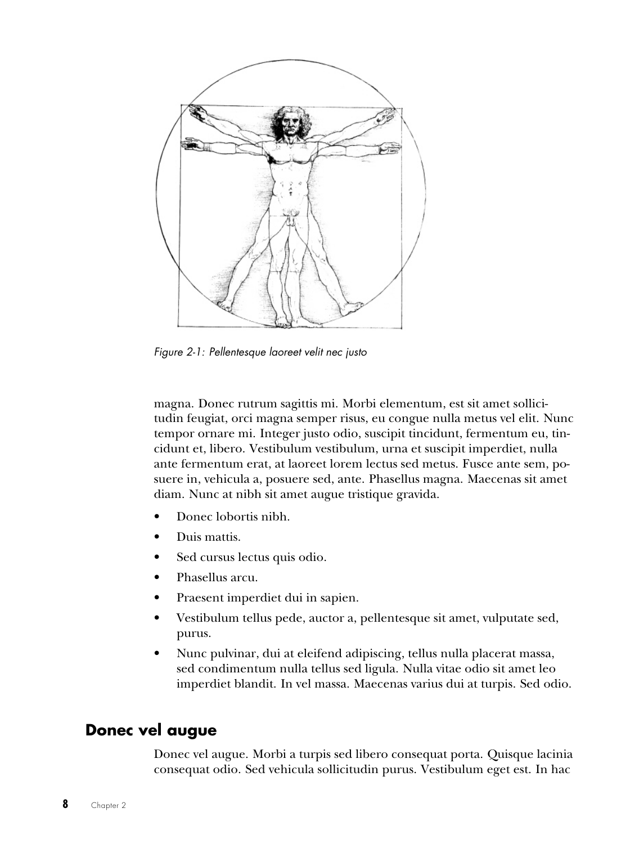<span id="page-21-1"></span>

Figure 2-1: Pellentesque laoreet velit nec justo

magna. Donec rutrum sagittis mi. Morbi elementum, est sit amet sollicitudin feugiat, orci magna semper risus, eu congue nulla metus vel elit. Nunc tempor ornare mi. Integer justo odio, suscipit tincidunt, fermentum eu, tincidunt et, libero. Vestibulum vestibulum, urna et suscipit imperdiet, nulla ante fermentum erat, at laoreet lorem lectus sed metus. Fusce ante sem, posuere in, vehicula a, posuere sed, ante. Phasellus magna. Maecenas sit amet diam. Nunc at nibh sit amet augue tristique gravida.

- Donec lobortis nibh.
- Duis mattis.
- Sed cursus lectus quis odio.
- Phasellus arcu.
- Praesent imperdiet dui in sapien.
- Vestibulum tellus pede, auctor a, pellentesque sit amet, vulputate sed, purus.
- Nunc pulvinar, dui at eleifend adipiscing, tellus nulla placerat massa, sed condimentum nulla tellus sed ligula. Nulla vitae odio sit amet leo imperdiet blandit. In vel massa. Maecenas varius dui at turpis. Sed odio.

#### **Donec vel augue**

<span id="page-21-0"></span>Donec vel augue. Morbi a turpis sed libero consequat porta. Quisque lacinia consequat odio. Sed vehicula sollicitudin purus. Vestibulum eget est. In hac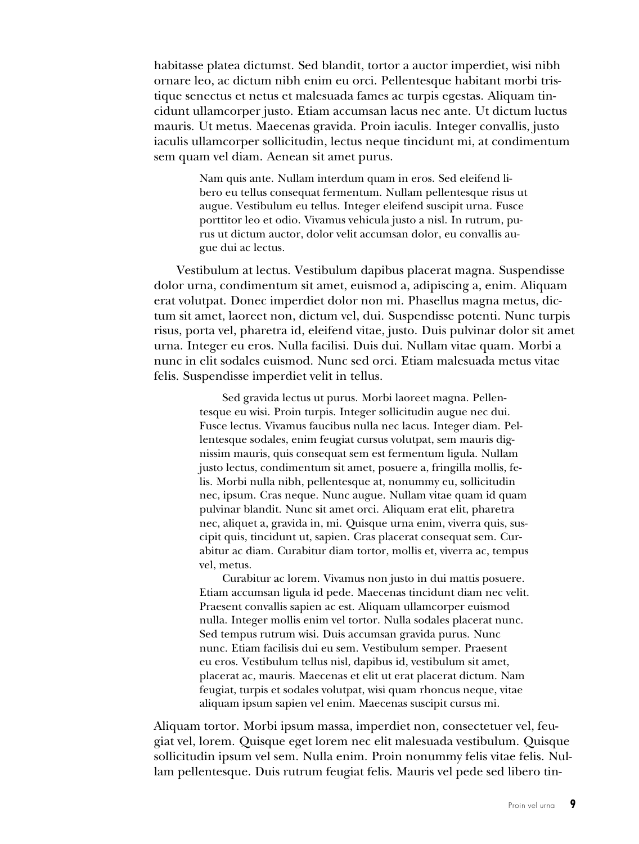habitasse platea dictumst. Sed blandit, tortor a auctor imperdiet, wisi nibh ornare leo, ac dictum nibh enim eu orci. Pellentesque habitant morbi tristique senectus et netus et malesuada fames ac turpis egestas. Aliquam tincidunt ullamcorper justo. Etiam accumsan lacus nec ante. Ut dictum luctus mauris. Ut metus. Maecenas gravida. Proin iaculis. Integer convallis, justo iaculis ullamcorper sollicitudin, lectus neque tincidunt mi, at condimentum sem quam vel diam. Aenean sit amet purus.

> Nam quis ante. Nullam interdum quam in eros. Sed eleifend libero eu tellus consequat fermentum. Nullam pellentesque risus ut augue. Vestibulum eu tellus. Integer eleifend suscipit urna. Fusce porttitor leo et odio. Vivamus vehicula justo a nisl. In rutrum, purus ut dictum auctor, dolor velit accumsan dolor, eu convallis augue dui ac lectus.

Vestibulum at lectus. Vestibulum dapibus placerat magna. Suspendisse dolor urna, condimentum sit amet, euismod a, adipiscing a, enim. Aliquam erat volutpat. Donec imperdiet dolor non mi. Phasellus magna metus, dictum sit amet, laoreet non, dictum vel, dui. Suspendisse potenti. Nunc turpis risus, porta vel, pharetra id, eleifend vitae, justo. Duis pulvinar dolor sit amet urna. Integer eu eros. Nulla facilisi. Duis dui. Nullam vitae quam. Morbi a nunc in elit sodales euismod. Nunc sed orci. Etiam malesuada metus vitae felis. Suspendisse imperdiet velit in tellus.

> Sed gravida lectus ut purus. Morbi laoreet magna. Pellentesque eu wisi. Proin turpis. Integer sollicitudin augue nec dui. Fusce lectus. Vivamus faucibus nulla nec lacus. Integer diam. Pellentesque sodales, enim feugiat cursus volutpat, sem mauris dignissim mauris, quis consequat sem est fermentum ligula. Nullam justo lectus, condimentum sit amet, posuere a, fringilla mollis, felis. Morbi nulla nibh, pellentesque at, nonummy eu, sollicitudin nec, ipsum. Cras neque. Nunc augue. Nullam vitae quam id quam pulvinar blandit. Nunc sit amet orci. Aliquam erat elit, pharetra nec, aliquet a, gravida in, mi. Quisque urna enim, viverra quis, suscipit quis, tincidunt ut, sapien. Cras placerat consequat sem. Curabitur ac diam. Curabitur diam tortor, mollis et, viverra ac, tempus vel, metus.

> Curabitur ac lorem. Vivamus non justo in dui mattis posuere. Etiam accumsan ligula id pede. Maecenas tincidunt diam nec velit. Praesent convallis sapien ac est. Aliquam ullamcorper euismod nulla. Integer mollis enim vel tortor. Nulla sodales placerat nunc. Sed tempus rutrum wisi. Duis accumsan gravida purus. Nunc nunc. Etiam facilisis dui eu sem. Vestibulum semper. Praesent eu eros. Vestibulum tellus nisl, dapibus id, vestibulum sit amet, placerat ac, mauris. Maecenas et elit ut erat placerat dictum. Nam feugiat, turpis et sodales volutpat, wisi quam rhoncus neque, vitae aliquam ipsum sapien vel enim. Maecenas suscipit cursus mi.

Aliquam tortor. Morbi ipsum massa, imperdiet non, consectetuer vel, feugiat vel, lorem. Quisque eget lorem nec elit malesuada vestibulum. Quisque sollicitudin ipsum vel sem. Nulla enim. Proin nonummy felis vitae felis. Nullam pellentesque. Duis rutrum feugiat felis. Mauris vel pede sed libero tin-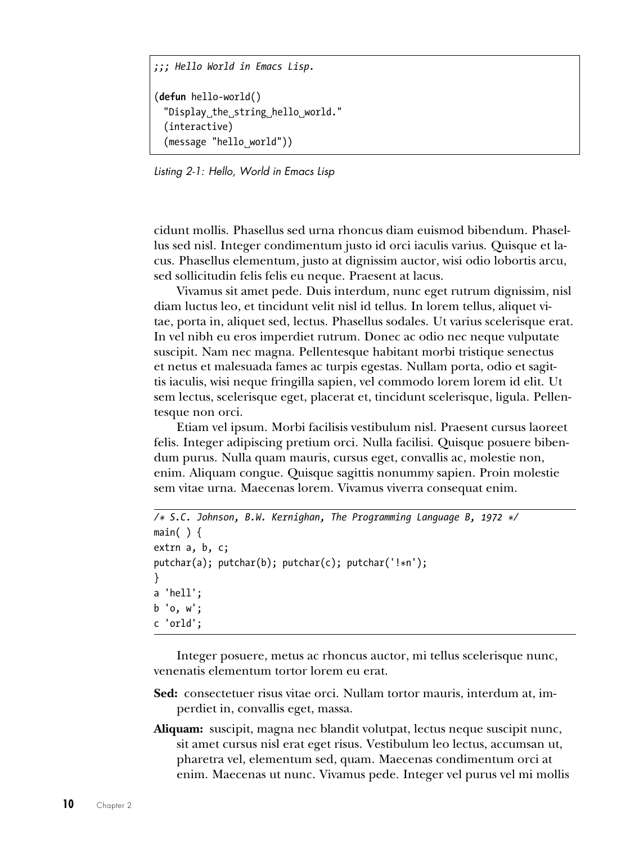```
;;; Hello World in Emacs Lisp.
(defun hello-world()
  "Display the string hello world."
  (interactive)
  (message "hello world"))
```
Listing 2-1: Hello, World in Emacs Lisp

cidunt mollis. Phasellus sed urna rhoncus diam euismod bibendum. Phasellus sed nisl. Integer condimentum justo id orci iaculis varius. Quisque et lacus. Phasellus elementum, justo at dignissim auctor, wisi odio lobortis arcu, sed sollicitudin felis felis eu neque. Praesent at lacus.

Vivamus sit amet pede. Duis interdum, nunc eget rutrum dignissim, nisl diam luctus leo, et tincidunt velit nisl id tellus. In lorem tellus, aliquet vitae, porta in, aliquet sed, lectus. Phasellus sodales. Ut varius scelerisque erat. In vel nibh eu eros imperdiet rutrum. Donec ac odio nec neque vulputate suscipit. Nam nec magna. Pellentesque habitant morbi tristique senectus et netus et malesuada fames ac turpis egestas. Nullam porta, odio et sagittis iaculis, wisi neque fringilla sapien, vel commodo lorem lorem id elit. Ut sem lectus, scelerisque eget, placerat et, tincidunt scelerisque, ligula. Pellentesque non orci.

Etiam vel ipsum. Morbi facilisis vestibulum nisl. Praesent cursus laoreet felis. Integer adipiscing pretium orci. Nulla facilisi. Quisque posuere bibendum purus. Nulla quam mauris, cursus eget, convallis ac, molestie non, enim. Aliquam congue. Quisque sagittis nonummy sapien. Proin molestie sem vitae urna. Maecenas lorem. Vivamus viverra consequat enim.

```
/* S.C. Johnson, B.W. Kernighan, The Programming Language B, 1972 */
main() {
extrn a, b, c;
putchar(a); putchar(b); putchar(c); putchar('!*n');
}
a 'hell';
b 'o, w';
c 'orld';
```
Integer posuere, metus ac rhoncus auctor, mi tellus scelerisque nunc, venenatis elementum tortor lorem eu erat.

- **Sed:** consectetuer risus vitae orci. Nullam tortor mauris, interdum at, imperdiet in, convallis eget, massa.
- **Aliquam:** suscipit, magna nec blandit volutpat, lectus neque suscipit nunc, sit amet cursus nisl erat eget risus. Vestibulum leo lectus, accumsan ut, pharetra vel, elementum sed, quam. Maecenas condimentum orci at enim. Maecenas ut nunc. Vivamus pede. Integer vel purus vel mi mollis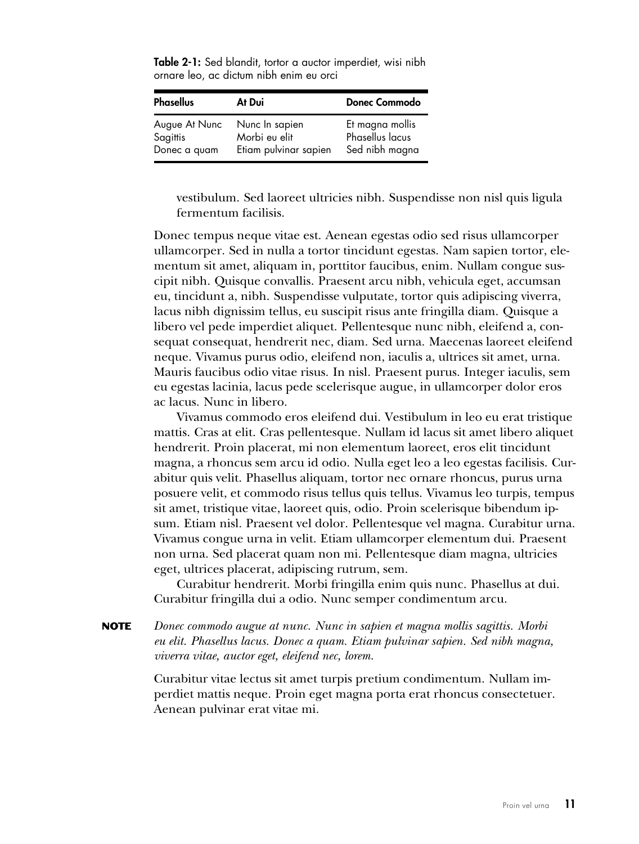<span id="page-24-0"></span>

| <b>Table 2-1:</b> Sed blandit, tortor a auctor imperdiet, wisi nibh |  |
|---------------------------------------------------------------------|--|
| ornare leo, ac dictum nibh enim eu orci                             |  |

| <b>Phasellus</b> | At Dui                | <b>Donec Commodo</b> |
|------------------|-----------------------|----------------------|
| Augue At Nunc    | Nunc In sapien        | Et magna mollis      |
| Sagittis         | Morbi eu elit         | Phasellus lacus      |
| Donec a quam     | Etiam pulvinar sapien | Sed nibh magna       |

vestibulum. Sed laoreet ultricies nibh. Suspendisse non nisl quis ligula fermentum facilisis.

Donec tempus neque vitae est. Aenean egestas odio sed risus ullamcorper ullamcorper. Sed in nulla a tortor tincidunt egestas. Nam sapien tortor, elementum sit amet, aliquam in, porttitor faucibus, enim. Nullam congue suscipit nibh. Quisque convallis. Praesent arcu nibh, vehicula eget, accumsan eu, tincidunt a, nibh. Suspendisse vulputate, tortor quis adipiscing viverra, lacus nibh dignissim tellus, eu suscipit risus ante fringilla diam. Quisque a libero vel pede imperdiet aliquet. Pellentesque nunc nibh, eleifend a, consequat consequat, hendrerit nec, diam. Sed urna. Maecenas laoreet eleifend neque. Vivamus purus odio, eleifend non, iaculis a, ultrices sit amet, urna. Mauris faucibus odio vitae risus. In nisl. Praesent purus. Integer iaculis, sem eu egestas lacinia, lacus pede scelerisque augue, in ullamcorper dolor eros ac lacus. Nunc in libero.

Vivamus commodo eros eleifend dui. Vestibulum in leo eu erat tristique mattis. Cras at elit. Cras pellentesque. Nullam id lacus sit amet libero aliquet hendrerit. Proin placerat, mi non elementum laoreet, eros elit tincidunt magna, a rhoncus sem arcu id odio. Nulla eget leo a leo egestas facilisis. Curabitur quis velit. Phasellus aliquam, tortor nec ornare rhoncus, purus urna posuere velit, et commodo risus tellus quis tellus. Vivamus leo turpis, tempus sit amet, tristique vitae, laoreet quis, odio. Proin scelerisque bibendum ipsum. Etiam nisl. Praesent vel dolor. Pellentesque vel magna. Curabitur urna. Vivamus congue urna in velit. Etiam ullamcorper elementum dui. Praesent non urna. Sed placerat quam non mi. Pellentesque diam magna, ultricies eget, ultrices placerat, adipiscing rutrum, sem.

Curabitur hendrerit. Morbi fringilla enim quis nunc. Phasellus at dui. Curabitur fringilla dui a odio. Nunc semper condimentum arcu.

**NOTE** *Donec commodo augue at nunc. Nunc in sapien et magna mollis sagittis. Morbi eu elit. Phasellus lacus. Donec a quam. Etiam pulvinar sapien. Sed nibh magna, viverra vitae, auctor eget, eleifend nec, lorem.*

> Curabitur vitae lectus sit amet turpis pretium condimentum. Nullam imperdiet mattis neque. Proin eget magna porta erat rhoncus consectetuer. Aenean pulvinar erat vitae mi.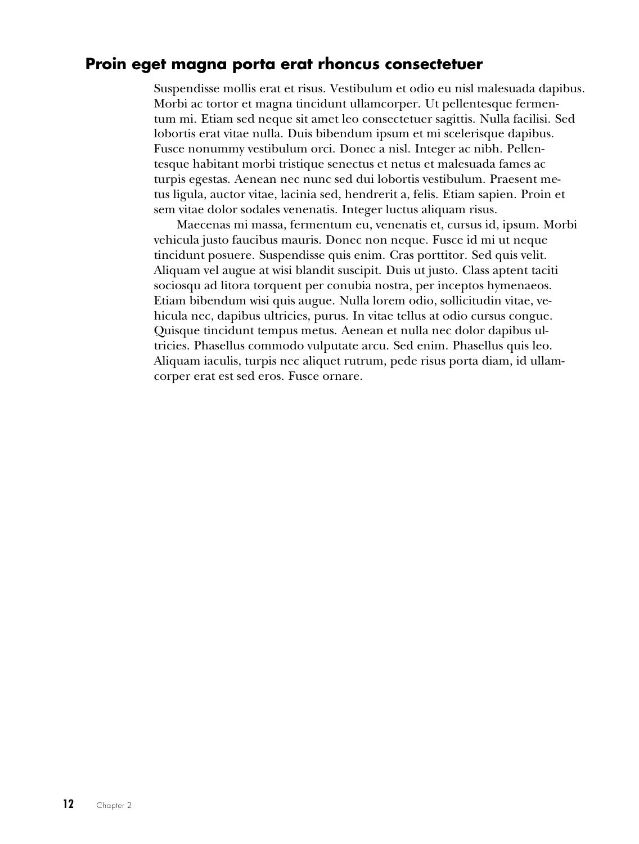#### **Proin eget magna porta erat rhoncus consectetuer**

<span id="page-25-0"></span>Suspendisse mollis erat et risus. Vestibulum et odio eu nisl malesuada dapibus. Morbi ac tortor et magna tincidunt ullamcorper. Ut pellentesque fermentum mi. Etiam sed neque sit amet leo consectetuer sagittis. Nulla facilisi. Sed lobortis erat vitae nulla. Duis bibendum ipsum et mi scelerisque dapibus. Fusce nonummy vestibulum orci. Donec a nisl. Integer ac nibh. Pellentesque habitant morbi tristique senectus et netus et malesuada fames ac turpis egestas. Aenean nec nunc sed dui lobortis vestibulum. Praesent metus ligula, auctor vitae, lacinia sed, hendrerit a, felis. Etiam sapien. Proin et sem vitae dolor sodales venenatis. Integer luctus aliquam risus.

Maecenas mi massa, fermentum eu, venenatis et, cursus id, ipsum. Morbi vehicula justo faucibus mauris. Donec non neque. Fusce id mi ut neque tincidunt posuere. Suspendisse quis enim. Cras porttitor. Sed quis velit. Aliquam vel augue at wisi blandit suscipit. Duis ut justo. Class aptent taciti sociosqu ad litora torquent per conubia nostra, per inceptos hymenaeos. Etiam bibendum wisi quis augue. Nulla lorem odio, sollicitudin vitae, vehicula nec, dapibus ultricies, purus. In vitae tellus at odio cursus congue. Quisque tincidunt tempus metus. Aenean et nulla nec dolor dapibus ultricies. Phasellus commodo vulputate arcu. Sed enim. Phasellus quis leo. Aliquam iaculis, turpis nec aliquet rutrum, pede risus porta diam, id ullamcorper erat est sed eros. Fusce ornare.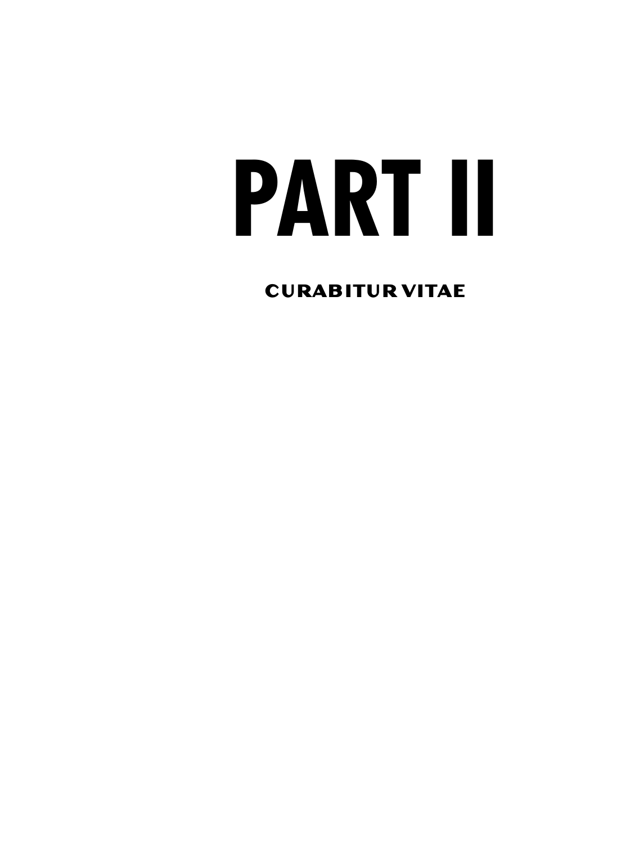## <span id="page-26-1"></span><span id="page-26-0"></span>**PART II**

**CURABITUR VITAE**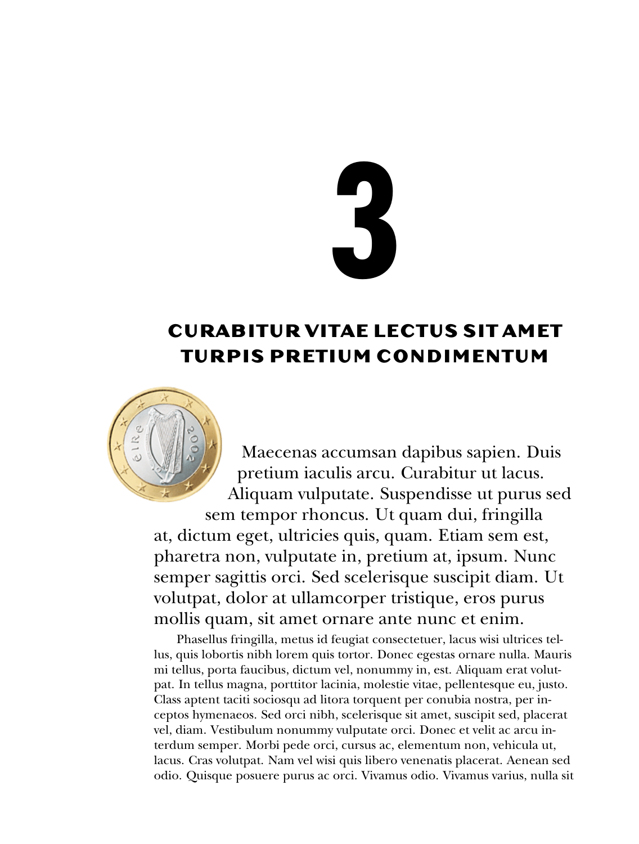# <span id="page-28-1"></span><span id="page-28-0"></span>**3**

#### **CURABITUR VITAE LECTUS SIT AMET TURP IS PRET IUM COND IMENTUM**



Maecenas accumsan dapibus sapien. Duis pretium iaculis arcu. Curabitur ut lacus. Aliquam vulputate. Suspendisse ut purus sed

sem tempor rhoncus. Ut quam dui, fringilla at, dictum eget, ultricies quis, quam. Etiam sem est, pharetra non, vulputate in, pretium at, ipsum. Nunc semper sagittis orci. Sed scelerisque suscipit diam. Ut volutpat, dolor at ullamcorper tristique, eros purus mollis quam, sit amet ornare ante nunc et enim.

Phasellus fringilla, metus id feugiat consectetuer, lacus wisi ultrices tellus, quis lobortis nibh lorem quis tortor. Donec egestas ornare nulla. Mauris mi tellus, porta faucibus, dictum vel, nonummy in, est. Aliquam erat volutpat. In tellus magna, porttitor lacinia, molestie vitae, pellentesque eu, justo. Class aptent taciti sociosqu ad litora torquent per conubia nostra, per inceptos hymenaeos. Sed orci nibh, scelerisque sit amet, suscipit sed, placerat vel, diam. Vestibulum nonummy vulputate orci. Donec et velit ac arcu interdum semper. Morbi pede orci, cursus ac, elementum non, vehicula ut, lacus. Cras volutpat. Nam vel wisi quis libero venenatis placerat. Aenean sed odio. Quisque posuere purus ac orci. Vivamus odio. Vivamus varius, nulla sit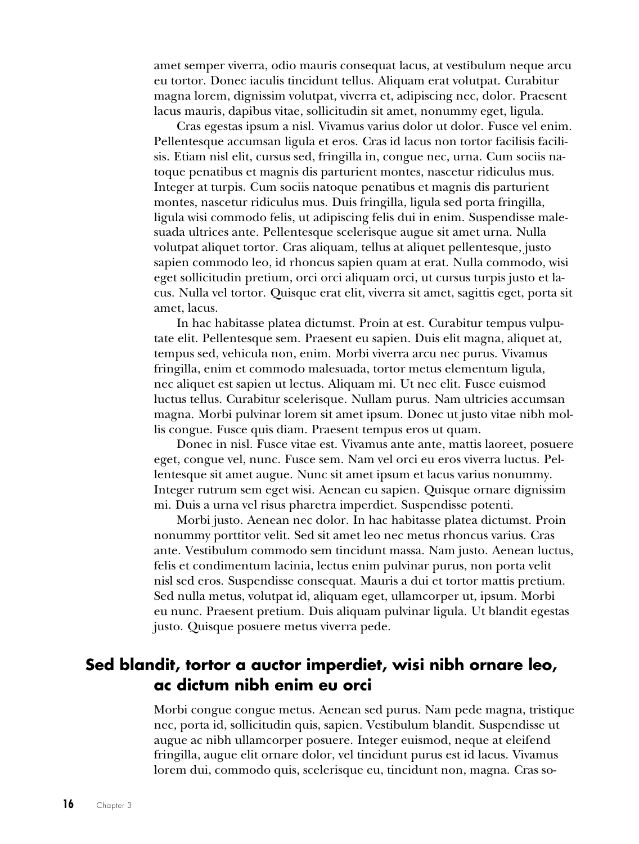amet semper viverra, odio mauris consequat lacus, at vestibulum neque arcu eu tortor. Donec iaculis tincidunt tellus. Aliquam erat volutpat. Curabitur magna lorem, dignissim volutpat, viverra et, adipiscing nec, dolor. Praesent lacus mauris, dapibus vitae, sollicitudin sit amet, nonummy eget, ligula.

Cras egestas ipsum a nisl. Vivamus varius dolor ut dolor. Fusce vel enim. Pellentesque accumsan ligula et eros. Cras id lacus non tortor facilisis facilisis. Etiam nisl elit, cursus sed, fringilla in, congue nec, urna. Cum sociis natoque penatibus et magnis dis parturient montes, nascetur ridiculus mus. Integer at turpis. Cum sociis natoque penatibus et magnis dis parturient montes, nascetur ridiculus mus. Duis fringilla, ligula sed porta fringilla, ligula wisi commodo felis, ut adipiscing felis dui in enim. Suspendisse malesuada ultrices ante. Pellentesque scelerisque augue sit amet urna. Nulla volutpat aliquet tortor. Cras aliquam, tellus at aliquet pellentesque, justo sapien commodo leo, id rhoncus sapien quam at erat. Nulla commodo, wisi eget sollicitudin pretium, orci orci aliquam orci, ut cursus turpis justo et lacus. Nulla vel tortor. Quisque erat elit, viverra sit amet, sagittis eget, porta sit amet, lacus.

In hac habitasse platea dictumst. Proin at est. Curabitur tempus vulputate elit. Pellentesque sem. Praesent eu sapien. Duis elit magna, aliquet at, tempus sed, vehicula non, enim. Morbi viverra arcu nec purus. Vivamus fringilla, enim et commodo malesuada, tortor metus elementum ligula, nec aliquet est sapien ut lectus. Aliquam mi. Ut nec elit. Fusce euismod luctus tellus. Curabitur scelerisque. Nullam purus. Nam ultricies accumsan magna. Morbi pulvinar lorem sit amet ipsum. Donec ut justo vitae nibh mollis congue. Fusce quis diam. Praesent tempus eros ut quam.

Donec in nisl. Fusce vitae est. Vivamus ante ante, mattis laoreet, posuere eget, congue vel, nunc. Fusce sem. Nam vel orci eu eros viverra luctus. Pellentesque sit amet augue. Nunc sit amet ipsum et lacus varius nonummy. Integer rutrum sem eget wisi. Aenean eu sapien. Quisque ornare dignissim mi. Duis a urna vel risus pharetra imperdiet. Suspendisse potenti.

Morbi justo. Aenean nec dolor. In hac habitasse platea dictumst. Proin nonummy porttitor velit. Sed sit amet leo nec metus rhoncus varius. Cras ante. Vestibulum commodo sem tincidunt massa. Nam justo. Aenean luctus, felis et condimentum lacinia, lectus enim pulvinar purus, non porta velit nisl sed eros. Suspendisse consequat. Mauris a dui et tortor mattis pretium. Sed nulla metus, volutpat id, aliquam eget, ullamcorper ut, ipsum. Morbi eu nunc. Praesent pretium. Duis aliquam pulvinar ligula. Ut blandit egestas justo. Quisque posuere metus viverra pede.

#### **Sed blandit, tortor a auctor imperdiet, wisi nibh ornare leo, ac dictum nibh enim eu orci**

<span id="page-29-0"></span>Morbi congue congue metus. Aenean sed purus. Nam pede magna, tristique nec, porta id, sollicitudin quis, sapien. Vestibulum blandit. Suspendisse ut augue ac nibh ullamcorper posuere. Integer euismod, neque at eleifend fringilla, augue elit ornare dolor, vel tincidunt purus est id lacus. Vivamus lorem dui, commodo quis, scelerisque eu, tincidunt non, magna. Cras so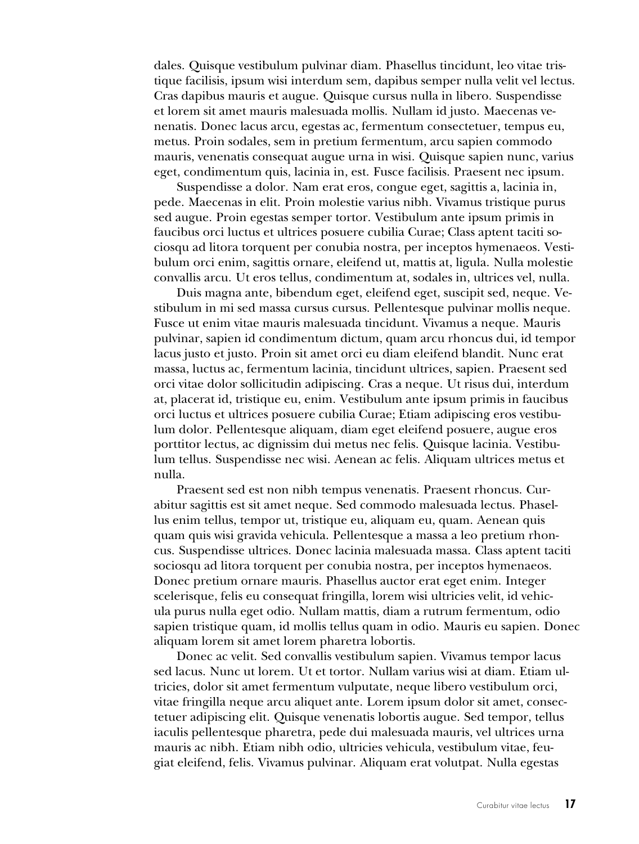dales. Quisque vestibulum pulvinar diam. Phasellus tincidunt, leo vitae tristique facilisis, ipsum wisi interdum sem, dapibus semper nulla velit vel lectus. Cras dapibus mauris et augue. Quisque cursus nulla in libero. Suspendisse et lorem sit amet mauris malesuada mollis. Nullam id justo. Maecenas venenatis. Donec lacus arcu, egestas ac, fermentum consectetuer, tempus eu, metus. Proin sodales, sem in pretium fermentum, arcu sapien commodo mauris, venenatis consequat augue urna in wisi. Quisque sapien nunc, varius eget, condimentum quis, lacinia in, est. Fusce facilisis. Praesent nec ipsum.

Suspendisse a dolor. Nam erat eros, congue eget, sagittis a, lacinia in, pede. Maecenas in elit. Proin molestie varius nibh. Vivamus tristique purus sed augue. Proin egestas semper tortor. Vestibulum ante ipsum primis in faucibus orci luctus et ultrices posuere cubilia Curae; Class aptent taciti sociosqu ad litora torquent per conubia nostra, per inceptos hymenaeos. Vestibulum orci enim, sagittis ornare, eleifend ut, mattis at, ligula. Nulla molestie convallis arcu. Ut eros tellus, condimentum at, sodales in, ultrices vel, nulla.

Duis magna ante, bibendum eget, eleifend eget, suscipit sed, neque. Vestibulum in mi sed massa cursus cursus. Pellentesque pulvinar mollis neque. Fusce ut enim vitae mauris malesuada tincidunt. Vivamus a neque. Mauris pulvinar, sapien id condimentum dictum, quam arcu rhoncus dui, id tempor lacus justo et justo. Proin sit amet orci eu diam eleifend blandit. Nunc erat massa, luctus ac, fermentum lacinia, tincidunt ultrices, sapien. Praesent sed orci vitae dolor sollicitudin adipiscing. Cras a neque. Ut risus dui, interdum at, placerat id, tristique eu, enim. Vestibulum ante ipsum primis in faucibus orci luctus et ultrices posuere cubilia Curae; Etiam adipiscing eros vestibulum dolor. Pellentesque aliquam, diam eget eleifend posuere, augue eros porttitor lectus, ac dignissim dui metus nec felis. Quisque lacinia. Vestibulum tellus. Suspendisse nec wisi. Aenean ac felis. Aliquam ultrices metus et nulla.

Praesent sed est non nibh tempus venenatis. Praesent rhoncus. Curabitur sagittis est sit amet neque. Sed commodo malesuada lectus. Phasellus enim tellus, tempor ut, tristique eu, aliquam eu, quam. Aenean quis quam quis wisi gravida vehicula. Pellentesque a massa a leo pretium rhoncus. Suspendisse ultrices. Donec lacinia malesuada massa. Class aptent taciti sociosqu ad litora torquent per conubia nostra, per inceptos hymenaeos. Donec pretium ornare mauris. Phasellus auctor erat eget enim. Integer scelerisque, felis eu consequat fringilla, lorem wisi ultricies velit, id vehicula purus nulla eget odio. Nullam mattis, diam a rutrum fermentum, odio sapien tristique quam, id mollis tellus quam in odio. Mauris eu sapien. Donec aliquam lorem sit amet lorem pharetra lobortis.

Donec ac velit. Sed convallis vestibulum sapien. Vivamus tempor lacus sed lacus. Nunc ut lorem. Ut et tortor. Nullam varius wisi at diam. Etiam ultricies, dolor sit amet fermentum vulputate, neque libero vestibulum orci, vitae fringilla neque arcu aliquet ante. Lorem ipsum dolor sit amet, consectetuer adipiscing elit. Quisque venenatis lobortis augue. Sed tempor, tellus iaculis pellentesque pharetra, pede dui malesuada mauris, vel ultrices urna mauris ac nibh. Etiam nibh odio, ultricies vehicula, vestibulum vitae, feugiat eleifend, felis. Vivamus pulvinar. Aliquam erat volutpat. Nulla egestas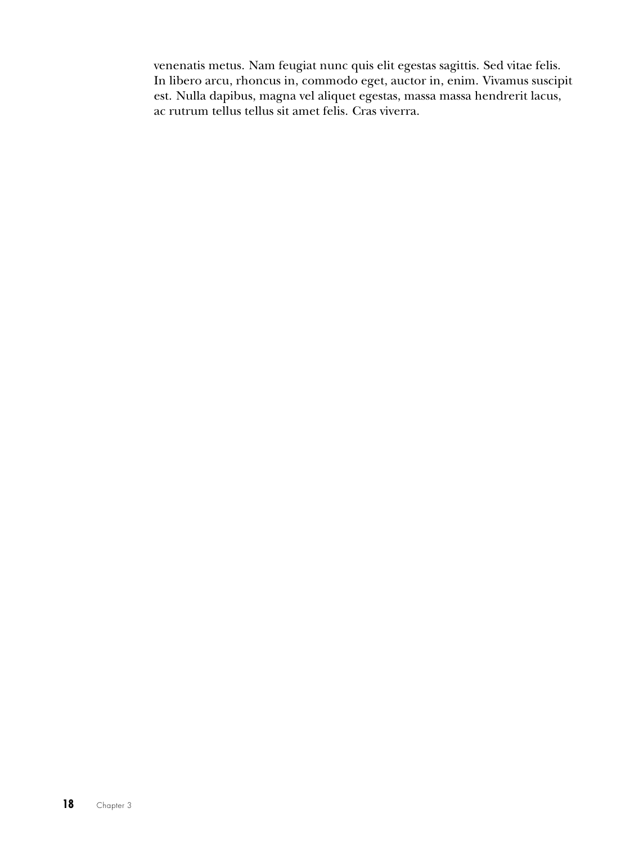<span id="page-31-0"></span>venenatis metus. Nam feugiat nunc quis elit egestas sagittis. Sed vitae felis. In libero arcu, rhoncus in, commodo eget, auctor in, enim. Vivamus suscipit est. Nulla dapibus, magna vel aliquet egestas, massa massa hendrerit lacus, ac rutrum tellus tellus sit amet felis. Cras viverra.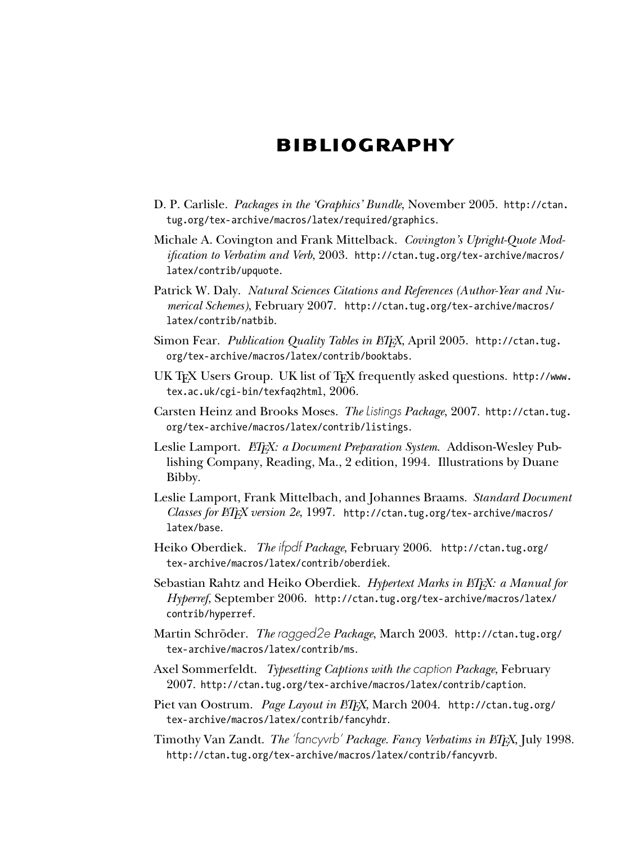#### **B IBL IOGRAPHY**

- <span id="page-32-0"></span>D. P. Carlisle. *Packages in the 'Graphics' Bundle*, November 2005. [http://ctan.](http://ctan.tug.org/tex-archive/macros/latex/required/graphics) [tug.org/tex-archive/macros/latex/required/graphics](http://ctan.tug.org/tex-archive/macros/latex/required/graphics).
- Michale A. Covington and Frank Mittelback. *Covington's Upright-Quote Modification to Verbatim and Verb*, 2003. [http://ctan.tug.org/tex-archive/macros/](http://ctan.tug.org/tex-archive/macros/latex/contrib/upquote) [latex/contrib/upquote](http://ctan.tug.org/tex-archive/macros/latex/contrib/upquote).
- Patrick W. Daly. *Natural Sciences Citations and References (Author-Year and Numerical Schemes)*, February 2007. [http://ctan.tug.org/tex-archive/macros/](http://ctan.tug.org/tex-archive/macros/latex/contrib/natbib) [latex/contrib/natbib](http://ctan.tug.org/tex-archive/macros/latex/contrib/natbib).
- Simon Fear. Publication Quality Tables in *EIFX*, April 2005. [http://ctan.tug.](http://ctan.tug.org/tex-archive/macros/latex/contrib/booktabs) [org/tex-archive/macros/latex/contrib/booktabs](http://ctan.tug.org/tex-archive/macros/latex/contrib/booktabs).
- UK TEX Users Group. UK list of TEX frequently asked questions. [http://www.](http://www.tex.ac.uk/cgi-bin/texfaq2html) [tex.ac.uk/cgi-bin/texfaq2html](http://www.tex.ac.uk/cgi-bin/texfaq2html), 2006.
- Carsten Heinz and Brooks Moses. *The* Listings *Package*, 2007. [http://ctan.tug.](http://ctan.tug.org/tex-archive/macros/latex/contrib/listings) [org/tex-archive/macros/latex/contrib/listings](http://ctan.tug.org/tex-archive/macros/latex/contrib/listings).
- Leslie Lamport. *LATEX: a Document Preparation System*. Addison-Wesley Publishing Company, Reading, Ma., 2 edition, 1994. Illustrations by Duane Bibby.
- Leslie Lamport, Frank Mittelbach, and Johannes Braams. *Standard Document Classes for LATEX version 2e*, 1997. [http://ctan.tug.org/tex-archive/macros/](http://ctan.tug.org/tex-archive/macros/latex/base) [latex/base](http://ctan.tug.org/tex-archive/macros/latex/base).
- Heiko Oberdiek. *The* ifpdf *Package*, February 2006. [http://ctan.tug.org/](http://ctan.tug.org/tex-archive/macros/latex/contrib/oberdiek) [tex-archive/macros/latex/contrib/oberdiek](http://ctan.tug.org/tex-archive/macros/latex/contrib/oberdiek).
- Sebastian Rahtz and Heiko Oberdiek. *Hypertext Marks in LATEX: a Manual for Hyperref*, September 2006. [http://ctan.tug.org/tex-archive/macros/latex/](http://ctan.tug.org/tex-archive/macros/latex/contrib/hyperref) [contrib/hyperref](http://ctan.tug.org/tex-archive/macros/latex/contrib/hyperref).
- Martin Schröder. *The* ragged2e *Package*, March 2003. [http://ctan.tug.org/](http://ctan.tug.org/tex-archive/macros/latex/contrib/ms) [tex-archive/macros/latex/contrib/ms](http://ctan.tug.org/tex-archive/macros/latex/contrib/ms).
- Axel Sommerfeldt. *Typesetting Captions with the* caption *Package*, February 2007. <http://ctan.tug.org/tex-archive/macros/latex/contrib/caption>.
- Piet van Oostrum. *Page Layout in ETEX*, March 2004. [http://ctan.tug.org/](http://ctan.tug.org/tex-archive/macros/latex/contrib/fancyhdr) [tex-archive/macros/latex/contrib/fancyhdr](http://ctan.tug.org/tex-archive/macros/latex/contrib/fancyhdr).
- Timothy Van Zandt. *The* 'fancyvrb' *Package. Fancy Verbatims in LATEX*, July 1998. <http://ctan.tug.org/tex-archive/macros/latex/contrib/fancyvrb>.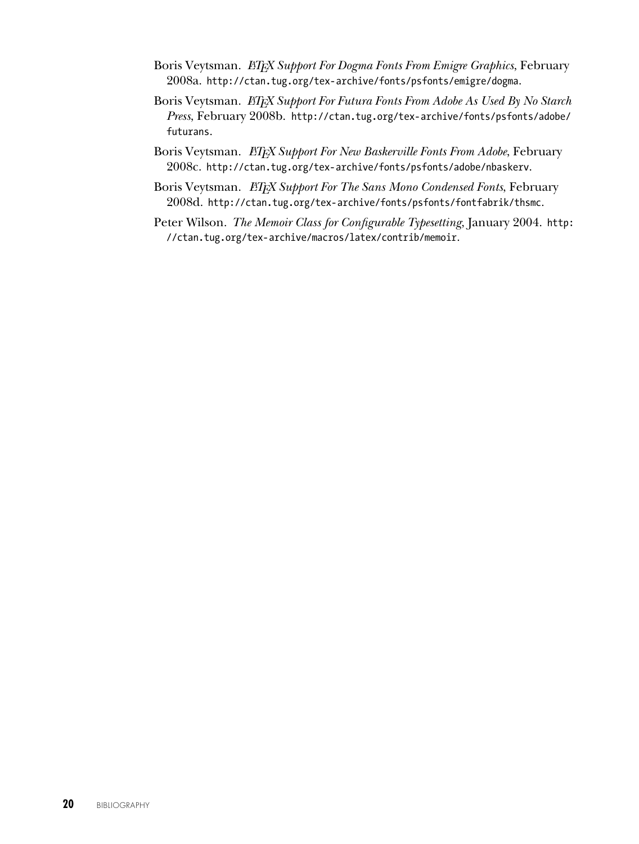- Boris Veytsman. *LATEX Support For Dogma Fonts From Emigre Graphics*, February 2008a. <http://ctan.tug.org/tex-archive/fonts/psfonts/emigre/dogma>.
- Boris Veytsman. *ETEX Support For Futura Fonts From Adobe As Used By No Starch Press*, February 2008b. [http://ctan.tug.org/tex-archive/fonts/psfonts/adobe/](http://ctan.tug.org/tex-archive/fonts/psfonts/adobe/futurans) [futurans](http://ctan.tug.org/tex-archive/fonts/psfonts/adobe/futurans).
- Boris Veytsman. *ETEX Support For New Baskerville Fonts From Adobe*, February 2008c. <http://ctan.tug.org/tex-archive/fonts/psfonts/adobe/nbaskerv>.
- Boris Veytsman. *LAFX Support For The Sans Mono Condensed Fonts*, February 2008d. <http://ctan.tug.org/tex-archive/fonts/psfonts/fontfabrik/thsmc>.
- Peter Wilson. *The Memoir Class for Configurable Typesetting*, January 2004. [http:](http://ctan.tug.org/tex-archive/macros/latex/contrib/memoir) [//ctan.tug.org/tex-archive/macros/latex/contrib/memoir](http://ctan.tug.org/tex-archive/macros/latex/contrib/memoir).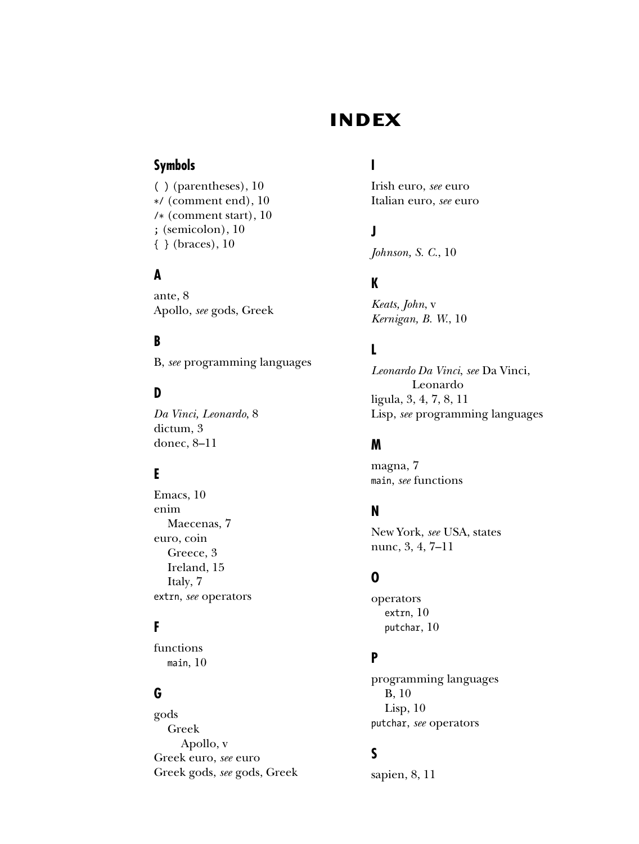#### **INDEX**

#### <span id="page-34-0"></span>**Symbols**

( ) (parentheses), [10](#page-23-0) \*/ (comment end), [10](#page-23-0) /\* (comment start), [10](#page-23-0) ; (semicolon), [10](#page-23-0) { } (braces), [10](#page-23-0)

#### **A**

ante, [8](#page-21-1) Apollo, *see* gods, Greek

#### **B**

B, *see* programming languages

#### **D**

*Da Vinci, Leonardo*, [8](#page-21-1) dictum, [3](#page-16-2) donec, [8–](#page-21-1)[11](#page-24-0)

#### **E**

Emacs, [10](#page-23-0) enim Maecenas, [7](#page-20-2) euro, coin Greece, [3](#page-16-2) Ireland, [15](#page-28-1) Italy, [7](#page-20-2) extrn, *see* operators

#### **F**

functions main, [10](#page-23-0)

#### **G**

gods Greek Apollo, [v](#page-4-0) Greek euro, *see* euro Greek gods, *see* gods, Greek

#### **I**

Irish euro, *see* euro Italian euro, *see* euro

#### **J**

*Johnson, S. C.*, [10](#page-23-0)

#### **K**

*Keats, John*, [v](#page-4-0) *Kernigan, B. W.*, [10](#page-23-0)

#### **L**

*Leonardo Da Vinci*, *see* Da Vinci, Leonardo ligula, [3,](#page-16-2) [4,](#page-17-3) [7,](#page-20-2) [8,](#page-21-1) [11](#page-24-0) Lisp, *see* programming languages

#### **M**

magna, [7](#page-20-2) main, *see* functions

#### **N**

New York, *see* USA, states nunc, [3,](#page-16-2) [4,](#page-17-3) [7](#page-20-2)[–11](#page-24-0)

#### **O**

operators extrn, [10](#page-23-0) putchar, [10](#page-23-0)

#### **P**

programming languages B, [10](#page-23-0) Lisp, [10](#page-23-0) putchar, *see* operators

#### **S**

sapien, [8,](#page-21-1) [11](#page-24-0)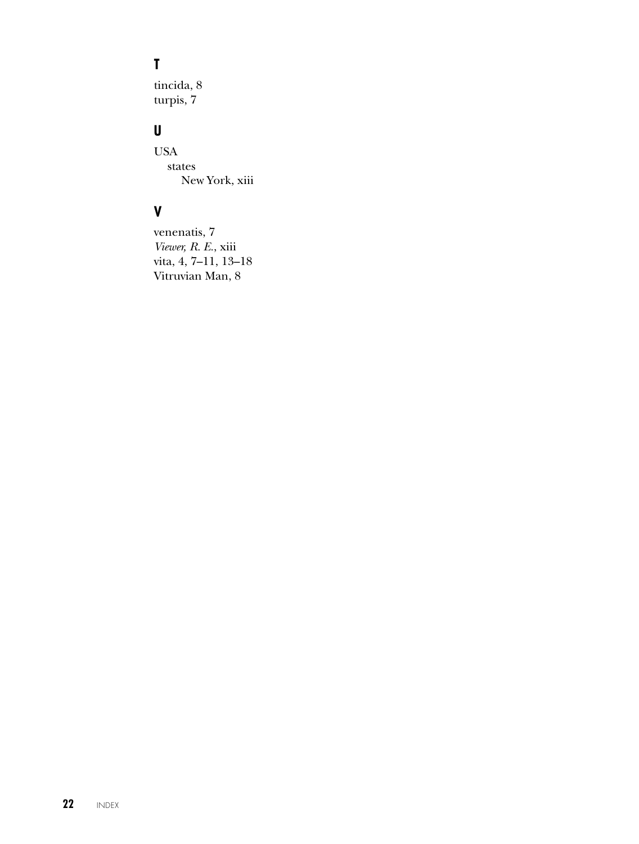#### $\mathbf T$

tincida, 8 turpis, 7

#### U

**USA**  $\rm states$ New York, xiii

#### $\mathbf V$

venenatis, 7 Viewer, R. E., xiii vita, 4, 7-11, 13-18 Vitruvian Man, 8